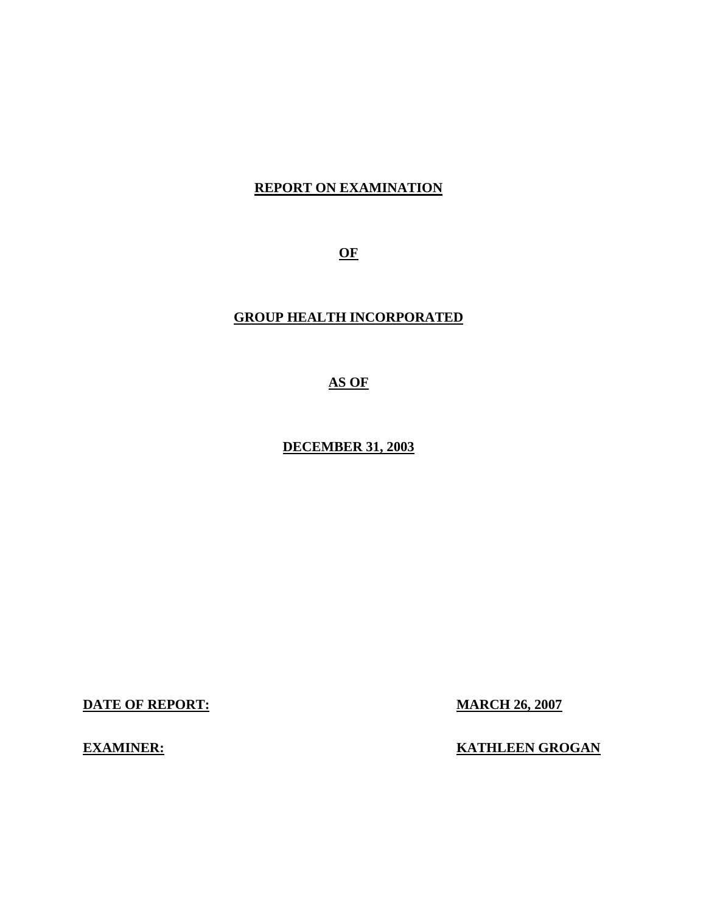# **REPORT ON EXAMINATION**

**OF** 

# **GROUP HEALTH INCORPORATED**

**AS OF** 

**DECEMBER 31, 2003** 

**DATE OF REPORT:** MARCH 26, 2007

**EXAMINER:** KATHLEEN GROGAN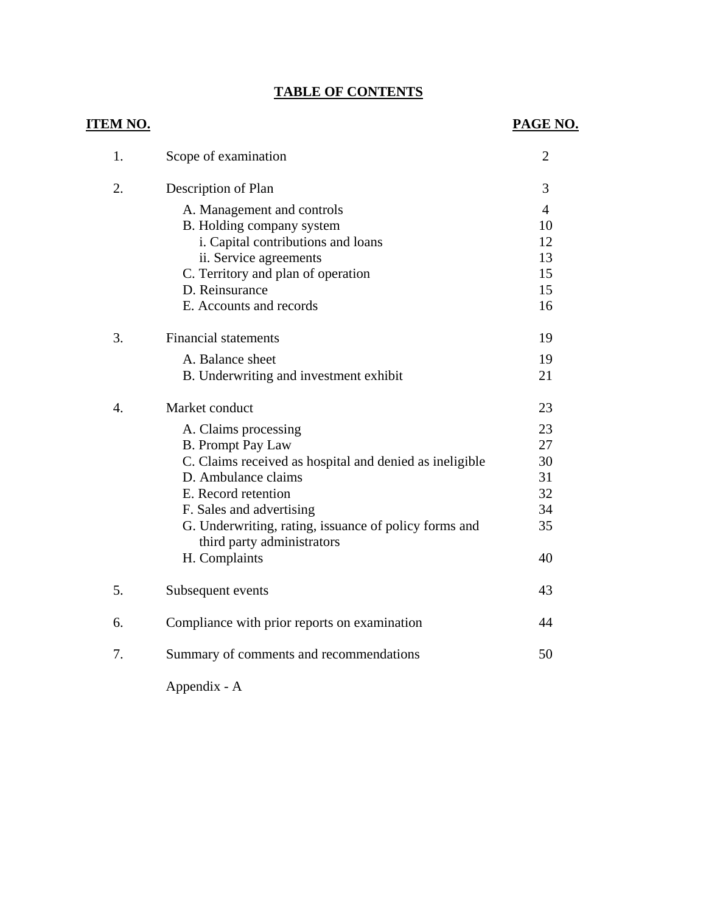# **TABLE OF CONTENTS**

# **ITEM NO. PAGE NO.**

| 1. | Scope of examination                                                                | $\overline{2}$ |
|----|-------------------------------------------------------------------------------------|----------------|
| 2. | Description of Plan                                                                 | 3              |
|    | A. Management and controls                                                          | $\overline{4}$ |
|    | B. Holding company system                                                           | 10             |
|    | i. Capital contributions and loans                                                  | 12             |
|    | ii. Service agreements                                                              | 13             |
|    | C. Territory and plan of operation                                                  | 15             |
|    | D. Reinsurance                                                                      | 15             |
|    | E. Accounts and records                                                             | 16             |
| 3. | <b>Financial statements</b>                                                         | 19             |
|    | A. Balance sheet                                                                    | 19             |
|    | B. Underwriting and investment exhibit                                              | 21             |
| 4. | Market conduct                                                                      | 23             |
|    | A. Claims processing                                                                | 23             |
|    | <b>B.</b> Prompt Pay Law                                                            | 27             |
|    | C. Claims received as hospital and denied as ineligible                             | 30             |
|    | D. Ambulance claims                                                                 | 31             |
|    | E. Record retention                                                                 | 32             |
|    | F. Sales and advertising                                                            | 34             |
|    | G. Underwriting, rating, issuance of policy forms and<br>third party administrators | 35             |
|    | H. Complaints                                                                       | 40             |
| 5. | Subsequent events                                                                   | 43             |
| б. | Compliance with prior reports on examination                                        | 44             |
| 7. | Summary of comments and recommendations                                             | 50             |
|    | Appendix - A                                                                        |                |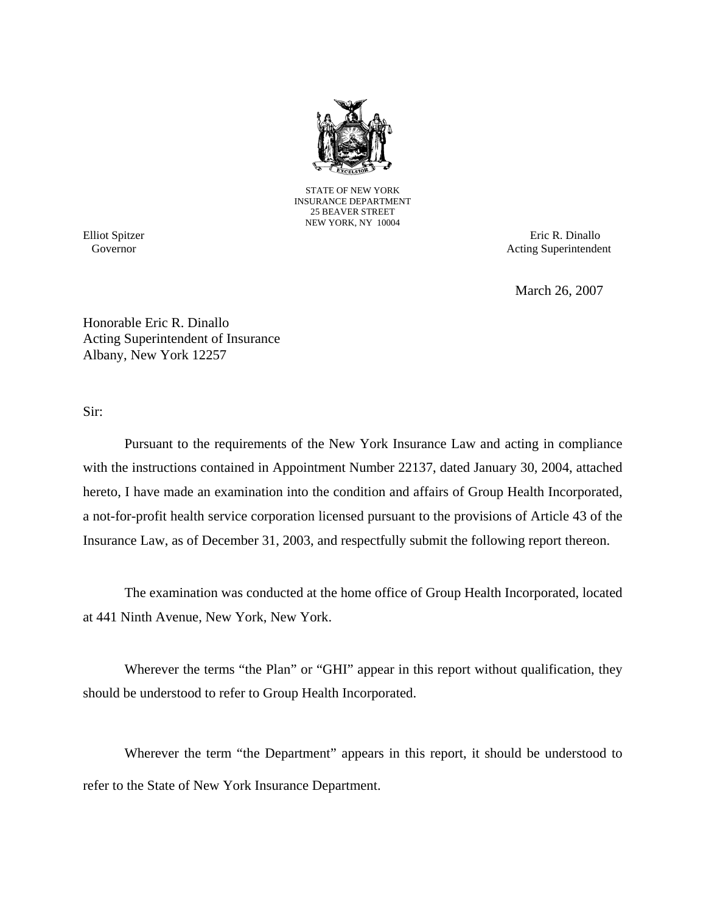

STATE OF NEW YORK INSURANCE DEPARTMENT 25 BEAVER STREET NEW YORK, NY 10004

Elliot Spitzer Eric R. Dinallo<br>
Governor Acting Superintenden Acting Superintendent

March 26, 2007

Honorable Eric R. Dinallo Acting Superintendent of Insurance Albany, New York 12257

Sir:

Pursuant to the requirements of the New York Insurance Law and acting in compliance with the instructions contained in Appointment Number 22137, dated January 30, 2004, attached hereto, I have made an examination into the condition and affairs of Group Health Incorporated, a not-for-profit health service corporation licensed pursuant to the provisions of Article 43 of the Insurance Law, as of December 31, 2003, and respectfully submit the following report thereon.

The examination was conducted at the home office of Group Health Incorporated, located at 441 Ninth Avenue, New York, New York.

Wherever the terms "the Plan" or "GHI" appear in this report without qualification, they should be understood to refer to Group Health Incorporated.

Wherever the term "the Department" appears in this report, it should be understood to refer to the State of New York Insurance Department.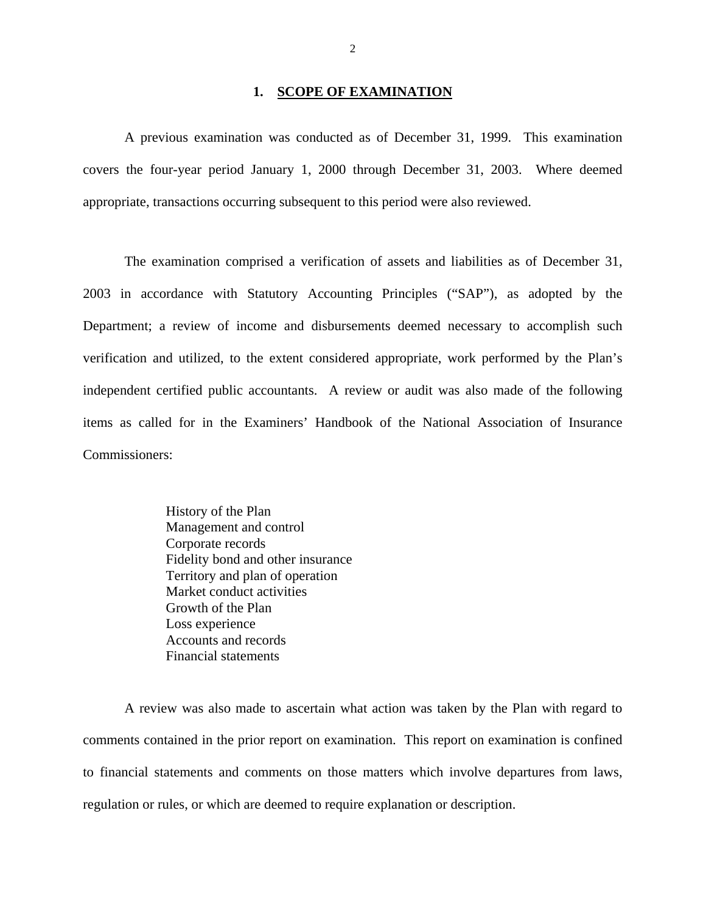#### **1. SCOPE OF EXAMINATION**

<span id="page-3-0"></span>A previous examination was conducted as of December 31, 1999. This examination covers the four-year period January 1, 2000 through December 31, 2003. Where deemed appropriate, transactions occurring subsequent to this period were also reviewed.

The examination comprised a verification of assets and liabilities as of December 31, 2003 in accordance with Statutory Accounting Principles ("SAP"), as adopted by the Department; a review of income and disbursements deemed necessary to accomplish such verification and utilized, to the extent considered appropriate, work performed by the Plan's independent certified public accountants. A review or audit was also made of the following items as called for in the Examiners' Handbook of the National Association of Insurance Commissioners:

> History of the Plan Management and control Corporate records Fidelity bond and other insurance Territory and plan of operation Market conduct activities Growth of the Plan Loss experience Accounts and records Financial statements

A review was also made to ascertain what action was taken by the Plan with regard to comments contained in the prior report on examination. This report on examination is confined to financial statements and comments on those matters which involve departures from laws, regulation or rules, or which are deemed to require explanation or description.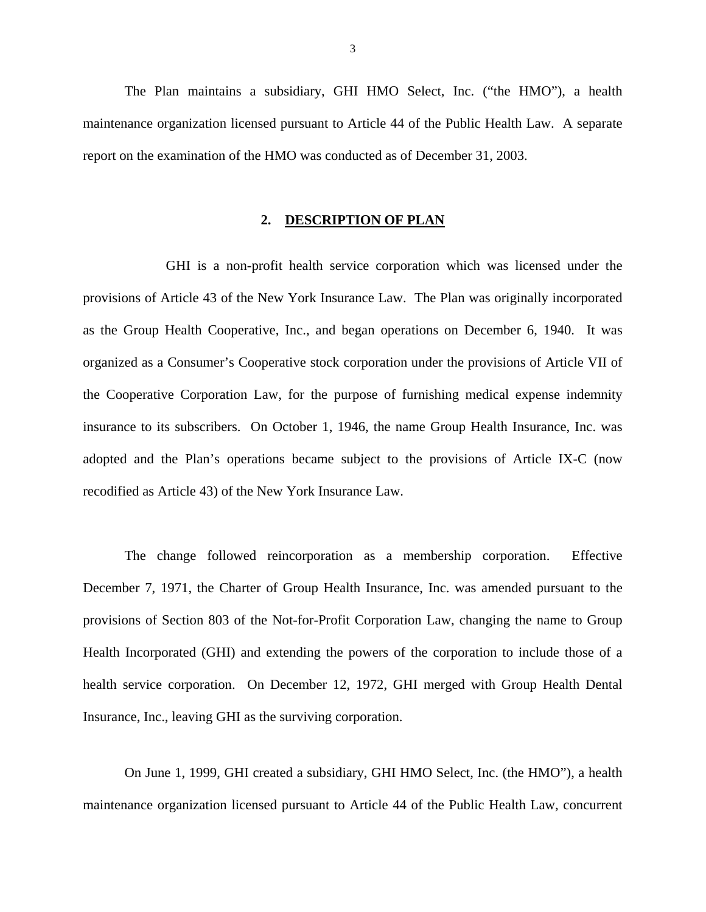<span id="page-4-0"></span>The Plan maintains a subsidiary, GHI HMO Select, Inc. ("the HMO"), a health maintenance organization licensed pursuant to Article 44 of the Public Health Law. A separate report on the examination of the HMO was conducted as of December 31, 2003.

#### **2. DESCRIPTION OF PLAN**

GHI is a non-profit health service corporation which was licensed under the provisions of Article 43 of the New York Insurance Law. The Plan was originally incorporated as the Group Health Cooperative, Inc., and began operations on December 6, 1940. It was organized as a Consumer's Cooperative stock corporation under the provisions of Article VII of the Cooperative Corporation Law, for the purpose of furnishing medical expense indemnity insurance to its subscribers. On October 1, 1946, the name Group Health Insurance, Inc. was adopted and the Plan's operations became subject to the provisions of Article IX-C (now recodified as Article 43) of the New York Insurance Law.

The change followed reincorporation as a membership corporation. Effective December 7, 1971, the Charter of Group Health Insurance, Inc. was amended pursuant to the provisions of Section 803 of the Not-for-Profit Corporation Law, changing the name to Group Health Incorporated (GHI) and extending the powers of the corporation to include those of a health service corporation. On December 12, 1972, GHI merged with Group Health Dental Insurance, Inc., leaving GHI as the surviving corporation.

On June 1, 1999, GHI created a subsidiary, GHI HMO Select, Inc. (the HMO"), a health maintenance organization licensed pursuant to Article 44 of the Public Health Law, concurrent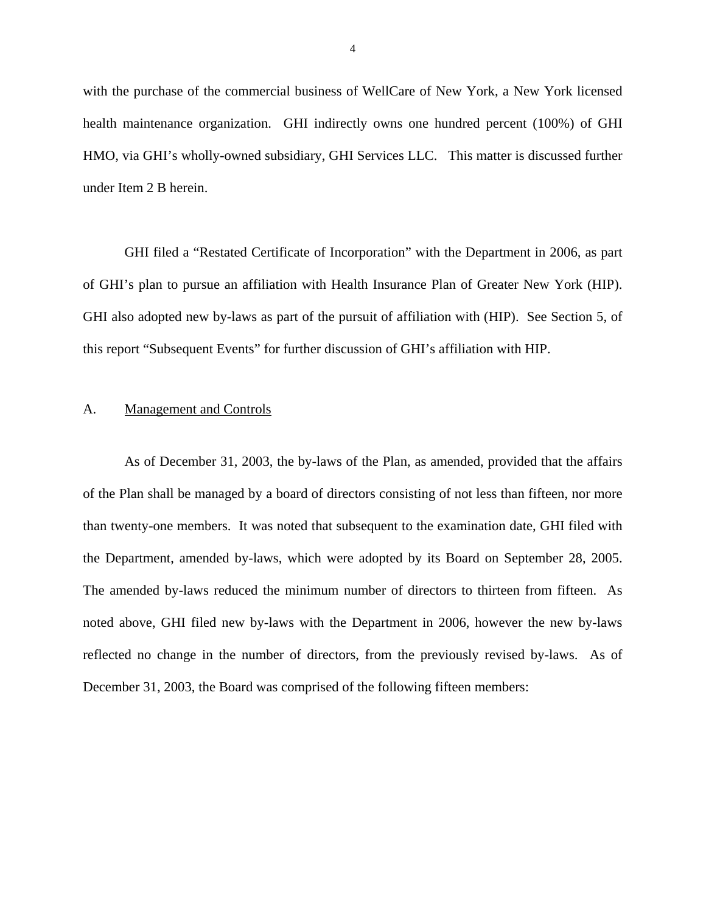<span id="page-5-0"></span>with the purchase of the commercial business of WellCare of New York, a New York licensed health maintenance organization. GHI indirectly owns one hundred percent (100%) of GHI HMO, via GHI's wholly-owned subsidiary, GHI Services LLC. This matter is discussed further under Item 2 B herein.

GHI filed a "Restated Certificate of Incorporation" with the Department in 2006, as part of GHI's plan to pursue an affiliation with Health Insurance Plan of Greater New York (HIP). GHI also adopted new by-laws as part of the pursuit of affiliation with (HIP). See Section 5, of this report "Subsequent Events" for further discussion of GHI's affiliation with HIP.

#### A. Management and Controls

As of December 31, 2003, the by-laws of the Plan, as amended, provided that the affairs of the Plan shall be managed by a board of directors consisting of not less than fifteen, nor more than twenty-one members. It was noted that subsequent to the examination date, GHI filed with the Department, amended by-laws, which were adopted by its Board on September 28, 2005. The amended by-laws reduced the minimum number of directors to thirteen from fifteen. As noted above, GHI filed new by-laws with the Department in 2006, however the new by-laws reflected no change in the number of directors, from the previously revised by-laws. As of December 31, 2003, the Board was comprised of the following fifteen members: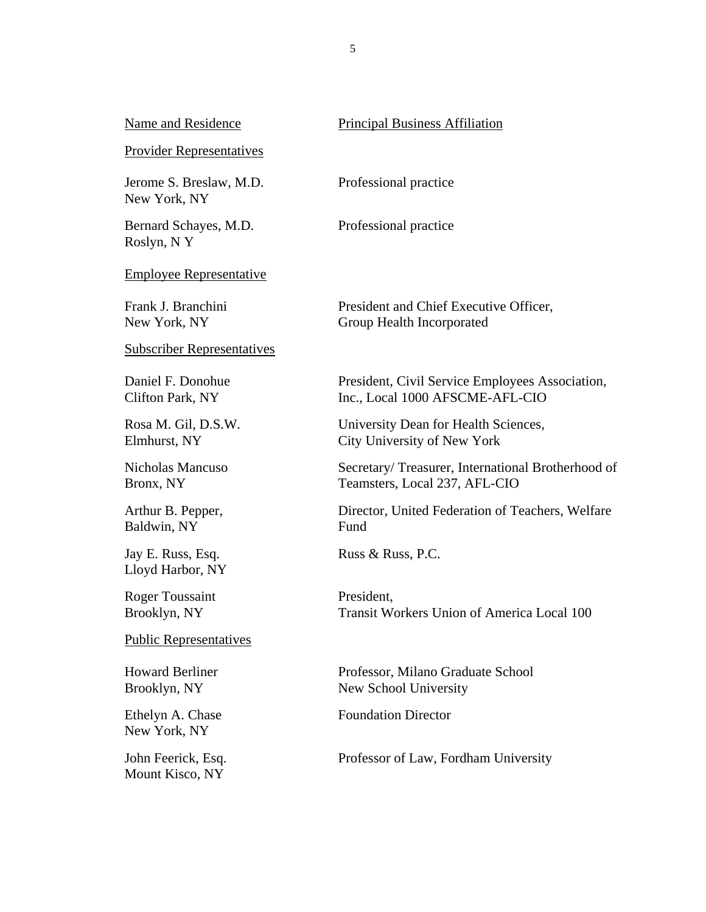| Name and Residence                      | <b>Principal Business Affiliation</b>                                              |
|-----------------------------------------|------------------------------------------------------------------------------------|
| <b>Provider Representatives</b>         |                                                                                    |
| Jerome S. Breslaw, M.D.<br>New York, NY | Professional practice                                                              |
| Bernard Schayes, M.D.<br>Roslyn, NY     | Professional practice                                                              |
| <b>Employee Representative</b>          |                                                                                    |
| Frank J. Branchini<br>New York, NY      | President and Chief Executive Officer,<br>Group Health Incorporated                |
| <b>Subscriber Representatives</b>       |                                                                                    |
| Daniel F. Donohue<br>Clifton Park, NY   | President, Civil Service Employees Association,<br>Inc., Local 1000 AFSCME-AFL-CIO |
| Rosa M. Gil, D.S.W.<br>Elmhurst, NY     | University Dean for Health Sciences,<br>City University of New York                |
| Nicholas Mancuso<br>Bronx, NY           | Secretary/Treasurer, International Brotherhood of<br>Teamsters, Local 237, AFL-CIO |
| Arthur B. Pepper,<br>Baldwin, NY        | Director, United Federation of Teachers, Welfare<br>Fund                           |
| Jay E. Russ, Esq.<br>Lloyd Harbor, NY   | Russ & Russ, P.C.                                                                  |
| <b>Roger Toussaint</b><br>Brooklyn, NY  | President.<br><b>Transit Workers Union of America Local 100</b>                    |
| <b>Public Representatives</b>           |                                                                                    |
| <b>Howard Berliner</b><br>Brooklyn, NY  | Professor, Milano Graduate School<br>New School University                         |
| Ethelyn A. Chase<br>New York, NY        | <b>Foundation Director</b>                                                         |
| John Feerick, Esq.                      | Professor of Law, Fordham University                                               |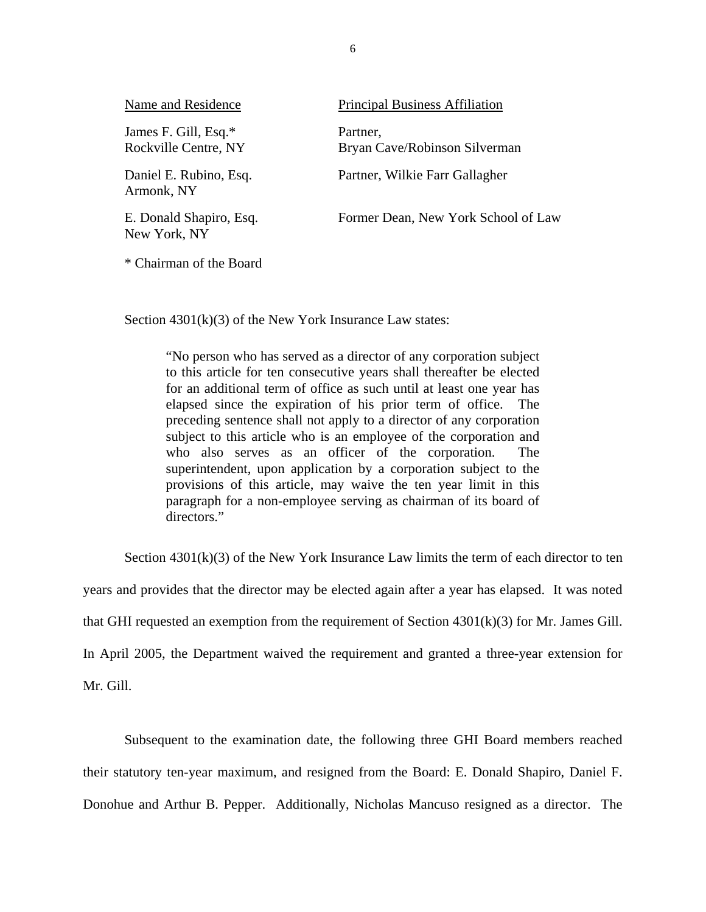| Name and Residence                           | <b>Principal Business Affiliation</b>     |
|----------------------------------------------|-------------------------------------------|
| James F. Gill, Esq.*<br>Rockville Centre, NY | Partner,<br>Bryan Cave/Robinson Silverman |
| Daniel E. Rubino, Esq.<br>Armonk, NY         | Partner, Wilkie Farr Gallagher            |
| E. Donald Shapiro, Esq.                      | Former Dean, New York School of Law       |

\* Chairman of the Board

New York, NY

Section 4301(k)(3) of the New York Insurance Law states:

"No person who has served as a director of any corporation subject to this article for ten consecutive years shall thereafter be elected for an additional term of office as such until at least one year has elapsed since the expiration of his prior term of office. The preceding sentence shall not apply to a director of any corporation subject to this article who is an employee of the corporation and who also serves as an officer of the corporation. The superintendent, upon application by a corporation subject to the provisions of this article, may waive the ten year limit in this paragraph for a non-employee serving as chairman of its board of directors."

Section  $4301(k)(3)$  of the New York Insurance Law limits the term of each director to ten

years and provides that the director may be elected again after a year has elapsed. It was noted

that GHI requested an exemption from the requirement of Section  $4301(k)(3)$  for Mr. James Gill.

In April 2005, the Department waived the requirement and granted a three-year extension for

Mr. Gill.

Subsequent to the examination date, the following three GHI Board members reached their statutory ten-year maximum, and resigned from the Board: E. Donald Shapiro, Daniel F. Donohue and Arthur B. Pepper. Additionally, Nicholas Mancuso resigned as a director. The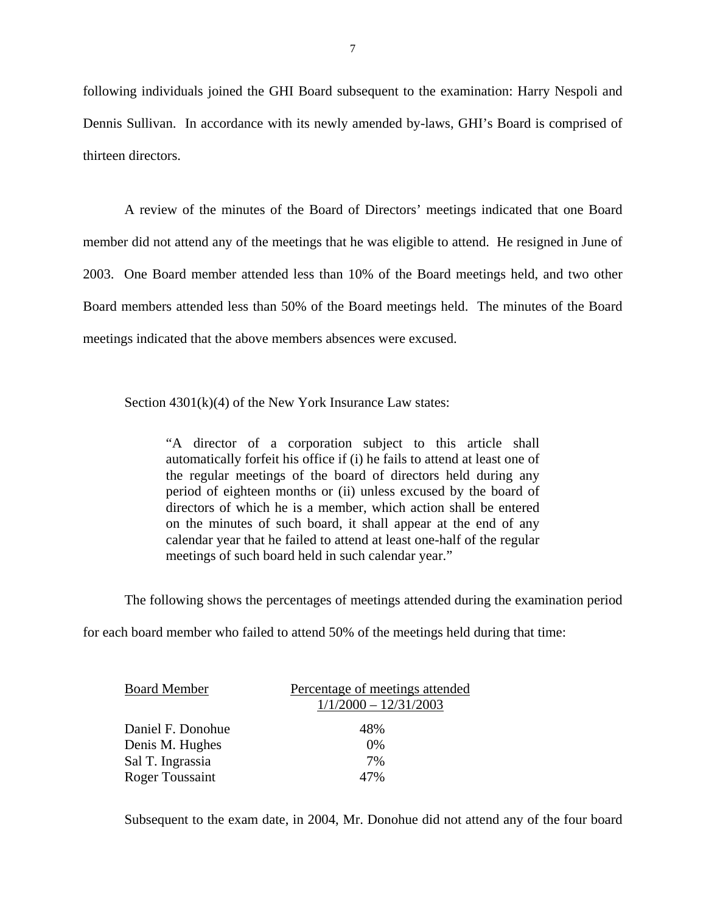following individuals joined the GHI Board subsequent to the examination: Harry Nespoli and Dennis Sullivan. In accordance with its newly amended by-laws, GHI's Board is comprised of thirteen directors.

A review of the minutes of the Board of Directors' meetings indicated that one Board member did not attend any of the meetings that he was eligible to attend. He resigned in June of 2003. One Board member attended less than 10% of the Board meetings held, and two other Board members attended less than 50% of the Board meetings held. The minutes of the Board meetings indicated that the above members absences were excused.

Section 4301(k)(4) of the New York Insurance Law states:

"A director of a corporation subject to this article shall automatically forfeit his office if (i) he fails to attend at least one of the regular meetings of the board of directors held during any period of eighteen months or (ii) unless excused by the board of directors of which he is a member, which action shall be entered on the minutes of such board, it shall appear at the end of any calendar year that he failed to attend at least one-half of the regular meetings of such board held in such calendar year."

The following shows the percentages of meetings attended during the examination period

for each board member who failed to attend 50% of the meetings held during that time:

| <b>Board Member</b>    | Percentage of meetings attended |
|------------------------|---------------------------------|
|                        | $1/1/2000 - 12/31/2003$         |
| Daniel F. Donohue      | 48%                             |
| Denis M. Hughes        | $0\%$                           |
| Sal T. Ingrassia       | 7%                              |
| <b>Roger Toussaint</b> | 47%                             |

Subsequent to the exam date, in 2004, Mr. Donohue did not attend any of the four board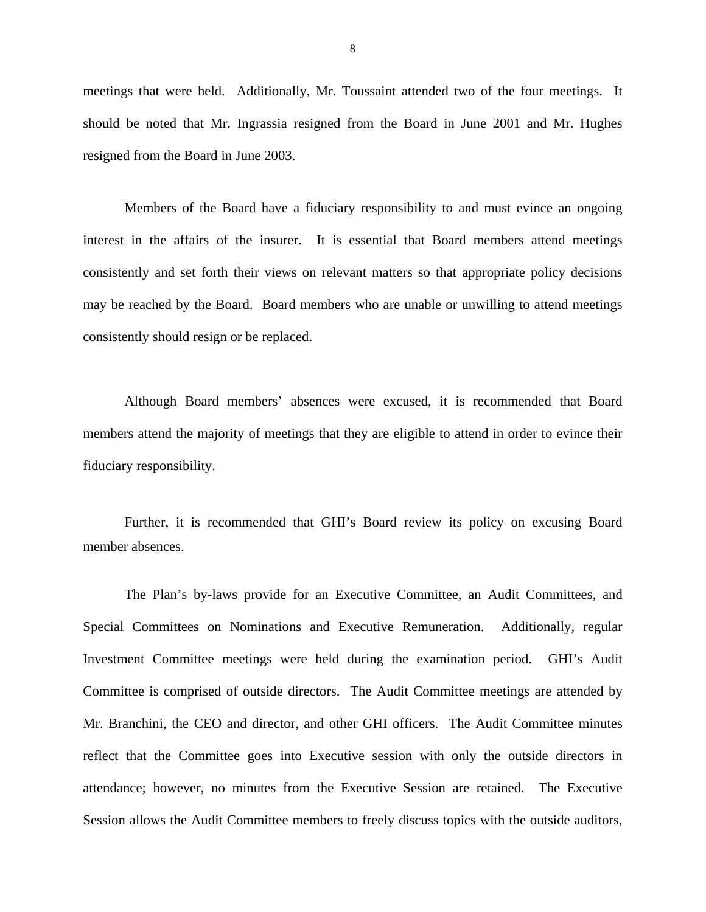meetings that were held. Additionally, Mr. Toussaint attended two of the four meetings. It should be noted that Mr. Ingrassia resigned from the Board in June 2001 and Mr. Hughes resigned from the Board in June 2003.

Members of the Board have a fiduciary responsibility to and must evince an ongoing interest in the affairs of the insurer. It is essential that Board members attend meetings consistently and set forth their views on relevant matters so that appropriate policy decisions may be reached by the Board. Board members who are unable or unwilling to attend meetings consistently should resign or be replaced.

Although Board members' absences were excused, it is recommended that Board members attend the majority of meetings that they are eligible to attend in order to evince their fiduciary responsibility.

Further, it is recommended that GHI's Board review its policy on excusing Board member absences.

The Plan's by-laws provide for an Executive Committee, an Audit Committees, and Special Committees on Nominations and Executive Remuneration. Additionally, regular Investment Committee meetings were held during the examination period. GHI's Audit Committee is comprised of outside directors. The Audit Committee meetings are attended by Mr. Branchini, the CEO and director, and other GHI officers. The Audit Committee minutes reflect that the Committee goes into Executive session with only the outside directors in attendance; however, no minutes from the Executive Session are retained. The Executive Session allows the Audit Committee members to freely discuss topics with the outside auditors,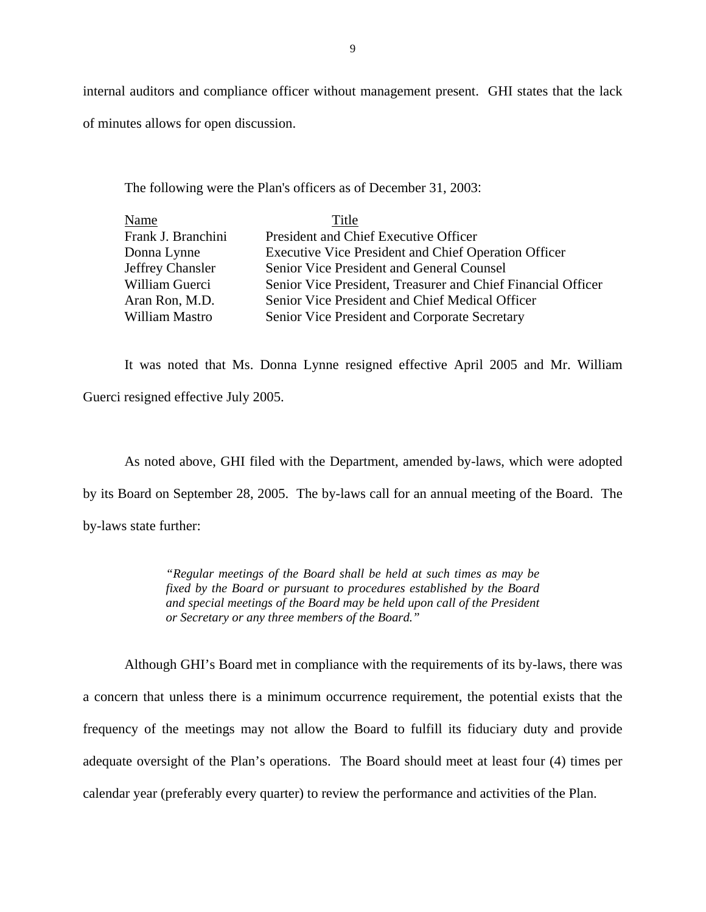internal auditors and compliance officer without management present. GHI states that the lack of minutes allows for open discussion.

The following were the Plan's officers as of December 31, 2003:

| Name               | Title                                                        |
|--------------------|--------------------------------------------------------------|
| Frank J. Branchini | President and Chief Executive Officer                        |
| Donna Lynne        | <b>Executive Vice President and Chief Operation Officer</b>  |
| Jeffrey Chansler   | Senior Vice President and General Counsel                    |
| William Guerci     | Senior Vice President, Treasurer and Chief Financial Officer |
| Aran Ron, M.D.     | Senior Vice President and Chief Medical Officer              |
| William Mastro     | Senior Vice President and Corporate Secretary                |

It was noted that Ms. Donna Lynne resigned effective April 2005 and Mr. William Guerci resigned effective July 2005.

As noted above, GHI filed with the Department, amended by-laws, which were adopted by its Board on September 28, 2005. The by-laws call for an annual meeting of the Board. The by-laws state further:

> *"Regular meetings of the Board shall be held at such times as may be fixed by the Board or pursuant to procedures established by the Board and special meetings of the Board may be held upon call of the President or Secretary or any three members of the Board."*

Although GHI's Board met in compliance with the requirements of its by-laws, there was a concern that unless there is a minimum occurrence requirement, the potential exists that the frequency of the meetings may not allow the Board to fulfill its fiduciary duty and provide adequate oversight of the Plan's operations. The Board should meet at least four (4) times per calendar year (preferably every quarter) to review the performance and activities of the Plan.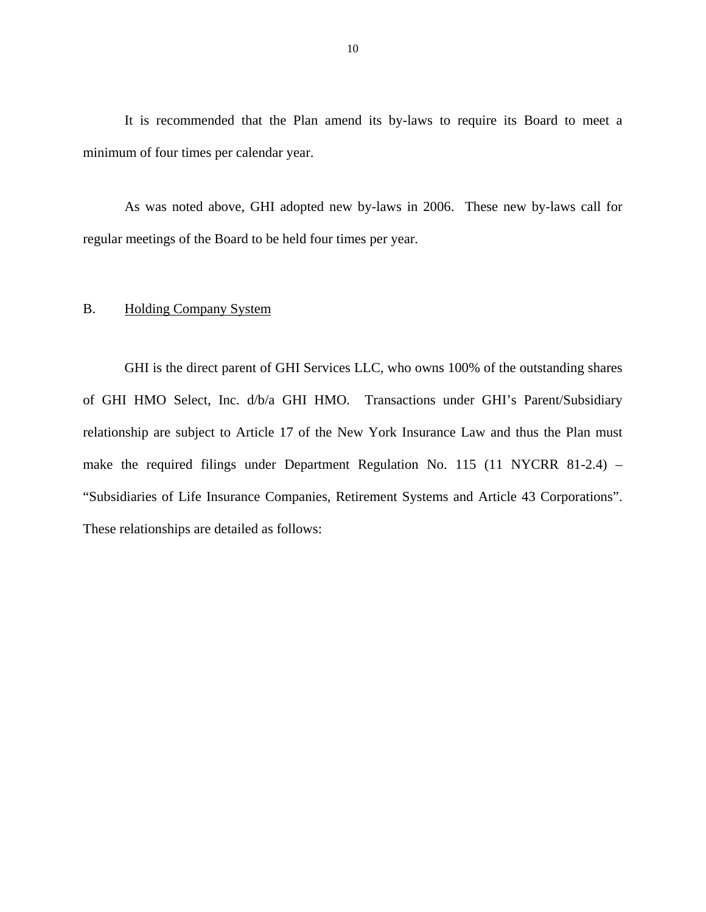<span id="page-11-0"></span>It is recommended that the Plan amend its by-laws to require its Board to meet a minimum of four times per calendar year.

As was noted above, GHI adopted new by-laws in 2006. These new by-laws call for regular meetings of the Board to be held four times per year.

#### B. Holding Company System

GHI is the direct parent of GHI Services LLC, who owns 100% of the outstanding shares of GHI HMO Select, Inc. d/b/a GHI HMO. Transactions under GHI's Parent/Subsidiary relationship are subject to Article 17 of the New York Insurance Law and thus the Plan must make the required filings under Department Regulation No. 115 (11 NYCRR 81-2.4) – "Subsidiaries of Life Insurance Companies, Retirement Systems and Article 43 Corporations". These relationships are detailed as follows: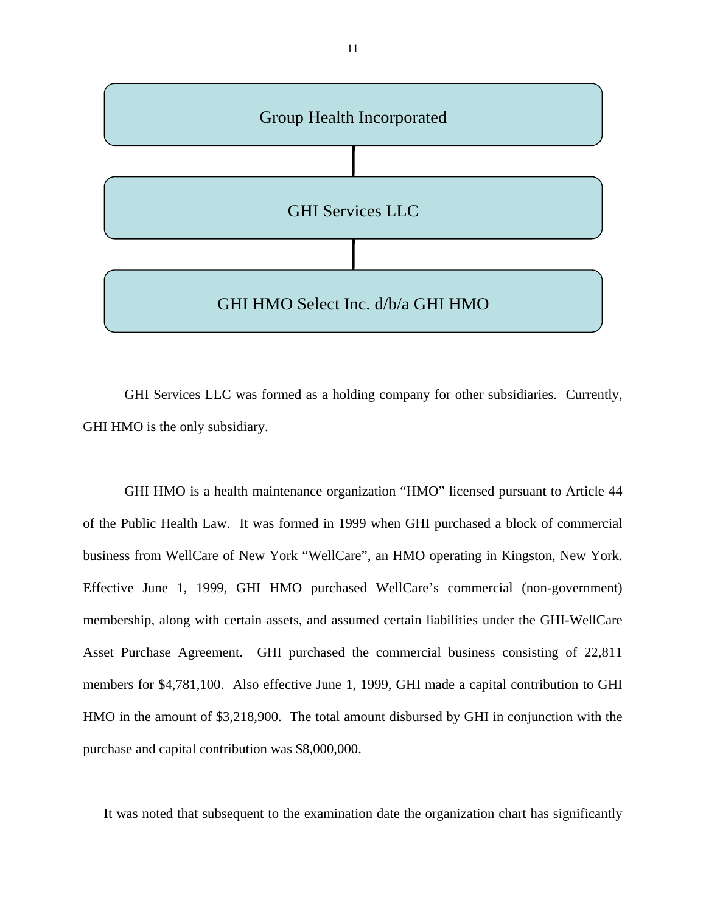

GHI Services LLC was formed as a holding company for other subsidiaries. Currently, GHI HMO is the only subsidiary.

GHI HMO is a health maintenance organization "HMO" licensed pursuant to Article 44 of the Public Health Law. It was formed in 1999 when GHI purchased a block of commercial business from WellCare of New York "WellCare", an HMO operating in Kingston, New York. Effective June 1, 1999, GHI HMO purchased WellCare's commercial (non-government) membership, along with certain assets, and assumed certain liabilities under the GHI-WellCare Asset Purchase Agreement. GHI purchased the commercial business consisting of 22,811 members for \$4,781,100. Also effective June 1, 1999, GHI made a capital contribution to GHI HMO in the amount of \$3,218,900. The total amount disbursed by GHI in conjunction with the purchase and capital contribution was \$8,000,000.

It was noted that subsequent to the examination date the organization chart has significantly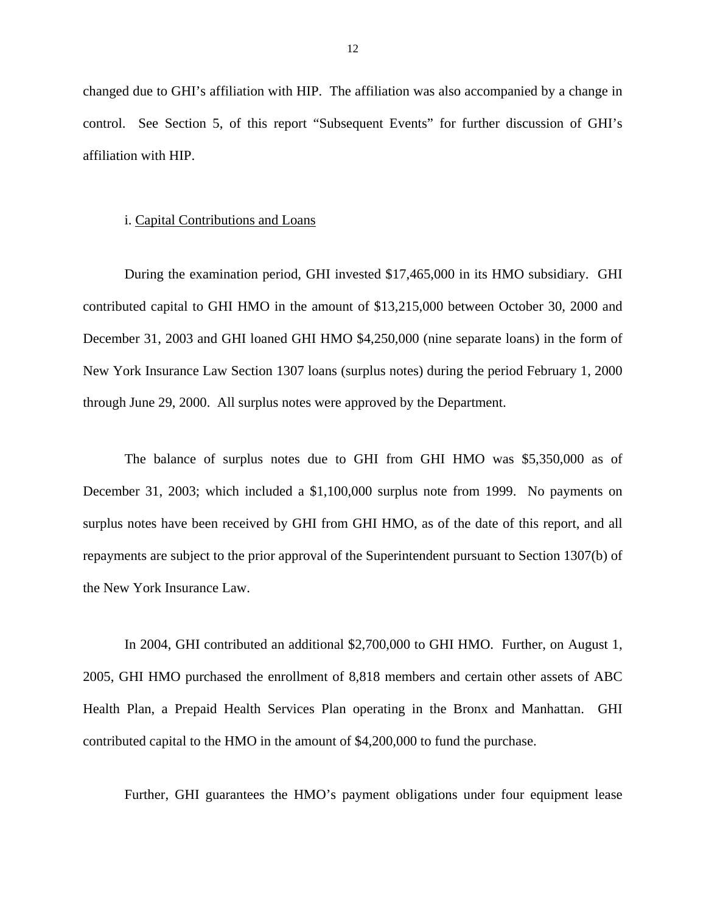<span id="page-13-0"></span>changed due to GHI's affiliation with HIP. The affiliation was also accompanied by a change in control. See Section 5, of this report "Subsequent Events" for further discussion of GHI's affiliation with HIP.

#### i. Capital Contributions and Loans

During the examination period, GHI invested \$17,465,000 in its HMO subsidiary. GHI contributed capital to GHI HMO in the amount of \$13,215,000 between October 30, 2000 and December 31, 2003 and GHI loaned GHI HMO \$4,250,000 (nine separate loans) in the form of New York Insurance Law Section 1307 loans (surplus notes) during the period February 1, 2000 through June 29, 2000. All surplus notes were approved by the Department.

The balance of surplus notes due to GHI from GHI HMO was \$5,350,000 as of December 31, 2003; which included a \$1,100,000 surplus note from 1999. No payments on surplus notes have been received by GHI from GHI HMO, as of the date of this report, and all repayments are subject to the prior approval of the Superintendent pursuant to Section 1307(b) of the New York Insurance Law.

In 2004, GHI contributed an additional \$2,700,000 to GHI HMO. Further, on August 1, 2005, GHI HMO purchased the enrollment of 8,818 members and certain other assets of ABC Health Plan, a Prepaid Health Services Plan operating in the Bronx and Manhattan. GHI contributed capital to the HMO in the amount of \$4,200,000 to fund the purchase.

Further, GHI guarantees the HMO's payment obligations under four equipment lease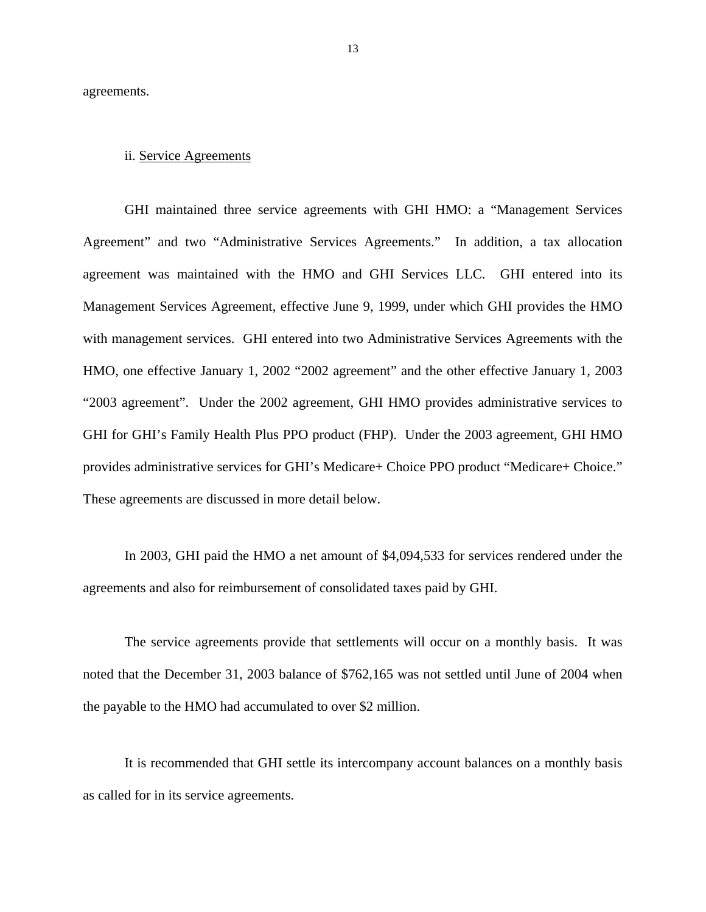<span id="page-14-0"></span>agreements.

#### ii. Service Agreements

GHI maintained three service agreements with GHI HMO: a "Management Services Agreement" and two "Administrative Services Agreements." In addition, a tax allocation agreement was maintained with the HMO and GHI Services LLC. GHI entered into its Management Services Agreement, effective June 9, 1999, under which GHI provides the HMO with management services. GHI entered into two Administrative Services Agreements with the HMO, one effective January 1, 2002 "2002 agreement" and the other effective January 1, 2003 "2003 agreement". Under the 2002 agreement, GHI HMO provides administrative services to GHI for GHI's Family Health Plus PPO product (FHP). Under the 2003 agreement, GHI HMO provides administrative services for GHI's Medicare+ Choice PPO product "Medicare+ Choice." These agreements are discussed in more detail below.

In 2003, GHI paid the HMO a net amount of \$4,094,533 for services rendered under the agreements and also for reimbursement of consolidated taxes paid by GHI.

The service agreements provide that settlements will occur on a monthly basis. It was noted that the December 31, 2003 balance of \$762,165 was not settled until June of 2004 when the payable to the HMO had accumulated to over \$2 million.

It is recommended that GHI settle its intercompany account balances on a monthly basis as called for in its service agreements.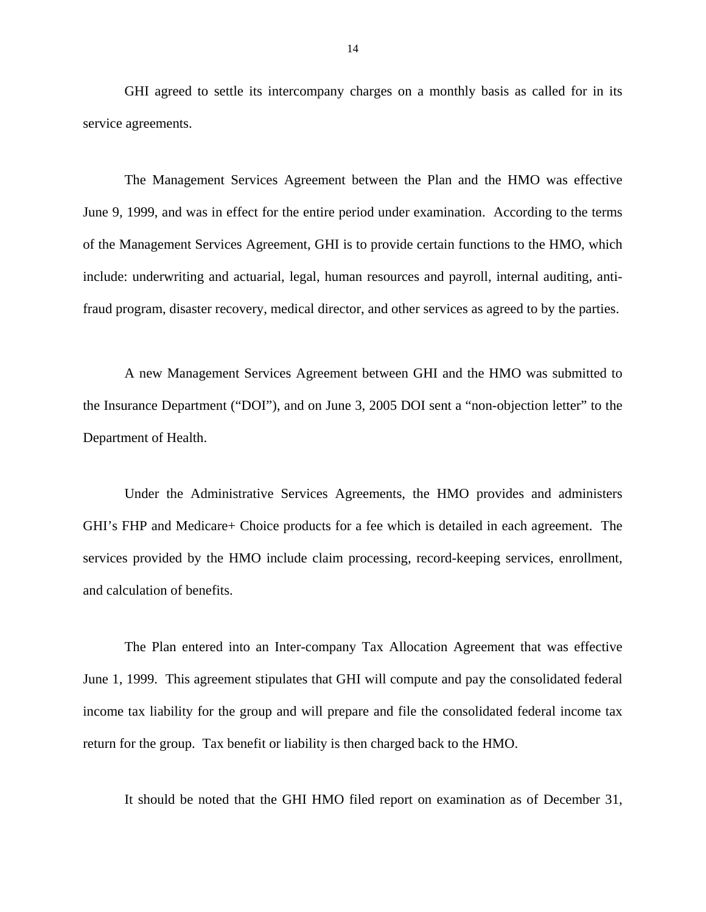GHI agreed to settle its intercompany charges on a monthly basis as called for in its service agreements.

The Management Services Agreement between the Plan and the HMO was effective June 9, 1999, and was in effect for the entire period under examination. According to the terms of the Management Services Agreement, GHI is to provide certain functions to the HMO, which include: underwriting and actuarial, legal, human resources and payroll, internal auditing, antifraud program, disaster recovery, medical director, and other services as agreed to by the parties.

A new Management Services Agreement between GHI and the HMO was submitted to the Insurance Department ("DOI"), and on June 3, 2005 DOI sent a "non-objection letter" to the Department of Health.

Under the Administrative Services Agreements, the HMO provides and administers GHI's FHP and Medicare+ Choice products for a fee which is detailed in each agreement. The services provided by the HMO include claim processing, record-keeping services, enrollment, and calculation of benefits.

The Plan entered into an Inter-company Tax Allocation Agreement that was effective June 1, 1999. This agreement stipulates that GHI will compute and pay the consolidated federal income tax liability for the group and will prepare and file the consolidated federal income tax return for the group. Tax benefit or liability is then charged back to the HMO.

It should be noted that the GHI HMO filed report on examination as of December 31,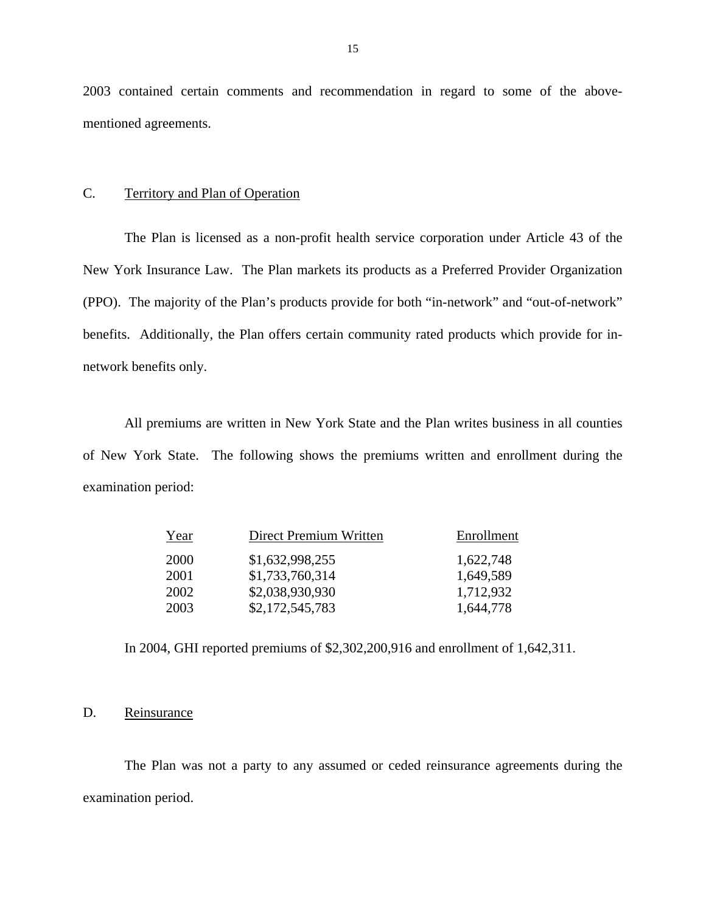2003 contained certain comments and recommendation in regard to some of the abovementioned agreements.

#### C. Territory and Plan of Operation

The Plan is licensed as a non-profit health service corporation under Article 43 of the New York Insurance Law. The Plan markets its products as a Preferred Provider Organization (PPO). The majority of the Plan's products provide for both "in-network" and "out-of-network" benefits. Additionally, the Plan offers certain community rated products which provide for innetwork benefits only.

All premiums are written in New York State and the Plan writes business in all counties of New York State. The following shows the premiums written and enrollment during the examination period:

| Year | Direct Premium Written | Enrollment |
|------|------------------------|------------|
| 2000 | \$1,632,998,255        | 1,622,748  |
| 2001 | \$1,733,760,314        | 1,649,589  |
| 2002 | \$2,038,930,930        | 1,712,932  |
| 2003 | \$2,172,545,783        | 1,644,778  |

In 2004, GHI reported premiums of \$2,302,200,916 and enrollment of 1,642,311.

#### D. Reinsurance

The Plan was not a party to any assumed or ceded reinsurance agreements during the examination period.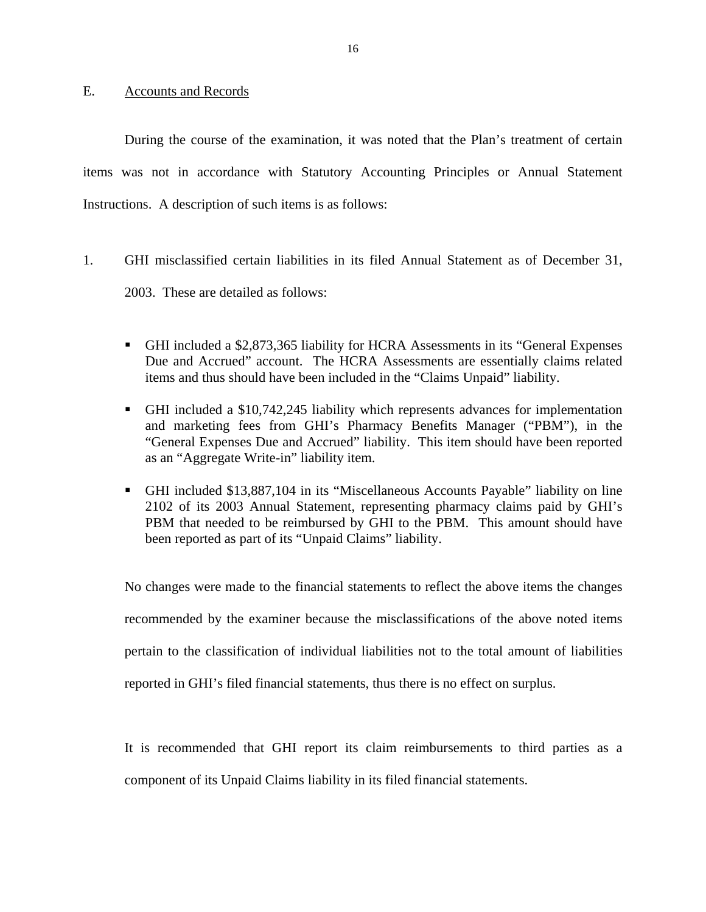#### <span id="page-17-0"></span>E. Accounts and Records

During the course of the examination, it was noted that the Plan's treatment of certain items was not in accordance with Statutory Accounting Principles or Annual Statement Instructions. A description of such items is as follows:

- 1. GHI misclassified certain liabilities in its filed Annual Statement as of December 31, 2003. These are detailed as follows:
	- GHI included a \$2,873,365 liability for HCRA Assessments in its "General Expenses Due and Accrued" account. The HCRA Assessments are essentially claims related items and thus should have been included in the "Claims Unpaid" liability.
	- GHI included a \$10,742,245 liability which represents advances for implementation and marketing fees from GHI's Pharmacy Benefits Manager ("PBM"), in the "General Expenses Due and Accrued" liability. This item should have been reported as an "Aggregate Write-in" liability item.
	- GHI included \$13,887,104 in its "Miscellaneous Accounts Payable" liability on line 2102 of its 2003 Annual Statement, representing pharmacy claims paid by GHI's PBM that needed to be reimbursed by GHI to the PBM. This amount should have been reported as part of its "Unpaid Claims" liability.

No changes were made to the financial statements to reflect the above items the changes recommended by the examiner because the misclassifications of the above noted items pertain to the classification of individual liabilities not to the total amount of liabilities reported in GHI's filed financial statements, thus there is no effect on surplus.

It is recommended that GHI report its claim reimbursements to third parties as a component of its Unpaid Claims liability in its filed financial statements.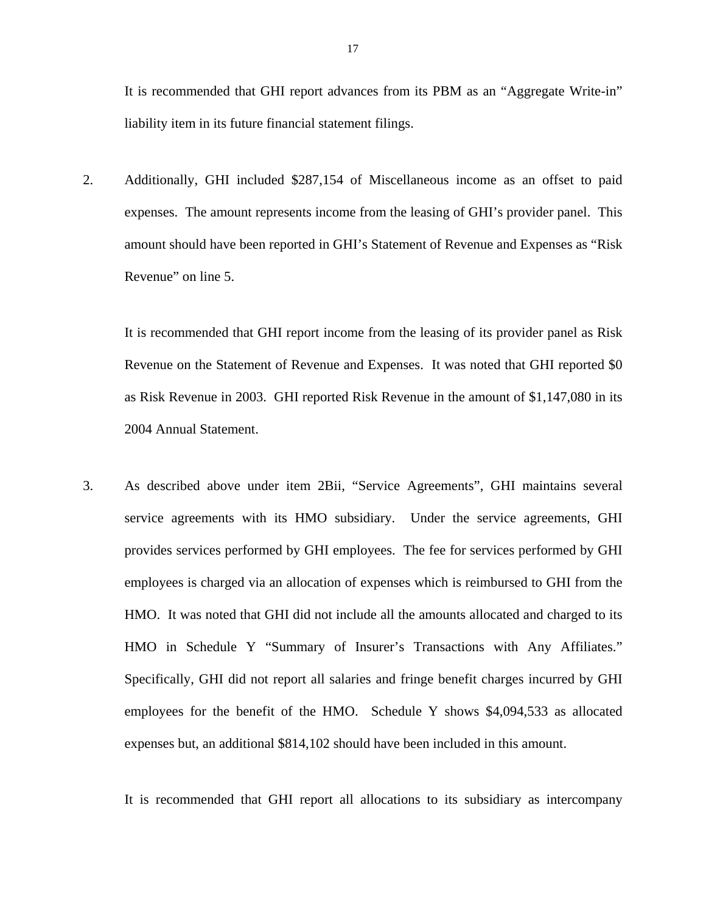It is recommended that GHI report advances from its PBM as an "Aggregate Write-in" liability item in its future financial statement filings.

2. Additionally, GHI included \$287,154 of Miscellaneous income as an offset to paid expenses. The amount represents income from the leasing of GHI's provider panel. This amount should have been reported in GHI's Statement of Revenue and Expenses as "Risk Revenue" on line 5.

It is recommended that GHI report income from the leasing of its provider panel as Risk Revenue on the Statement of Revenue and Expenses. It was noted that GHI reported \$0 as Risk Revenue in 2003. GHI reported Risk Revenue in the amount of \$1,147,080 in its 2004 Annual Statement.

3. As described above under item 2Bii, "Service Agreements", GHI maintains several service agreements with its HMO subsidiary. Under the service agreements, GHI provides services performed by GHI employees. The fee for services performed by GHI employees is charged via an allocation of expenses which is reimbursed to GHI from the HMO. It was noted that GHI did not include all the amounts allocated and charged to its HMO in Schedule Y "Summary of Insurer's Transactions with Any Affiliates." Specifically, GHI did not report all salaries and fringe benefit charges incurred by GHI employees for the benefit of the HMO. Schedule Y shows \$4,094,533 as allocated expenses but, an additional \$814,102 should have been included in this amount.

It is recommended that GHI report all allocations to its subsidiary as intercompany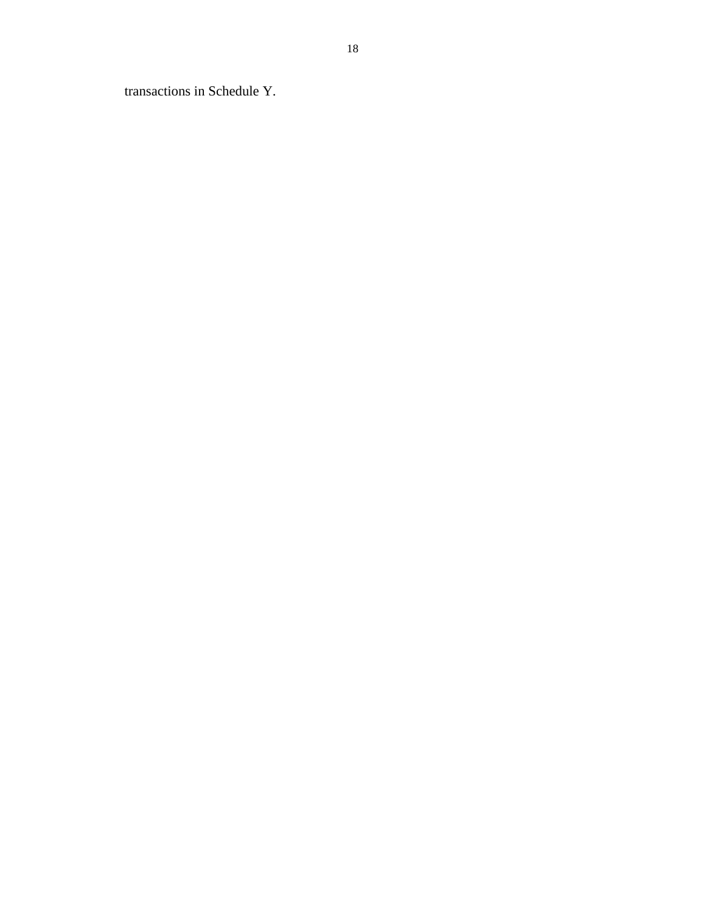transactions in Schedule Y.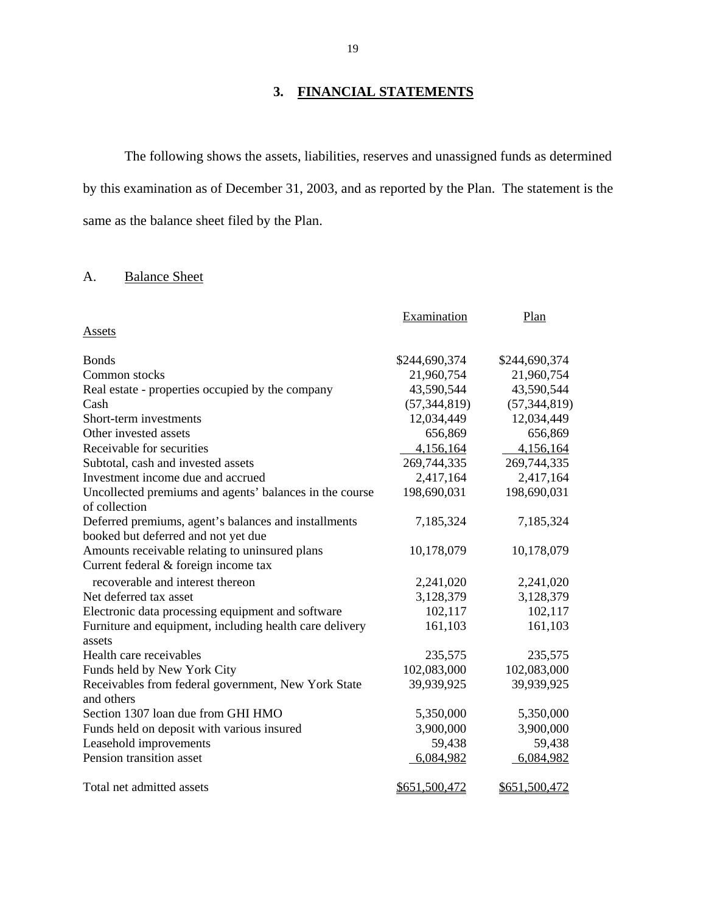# **3. FINANCIAL STATEMENTS**

The following shows the assets, liabilities, reserves and unassigned funds as determined by this examination as of December 31, 2003, and as reported by the Plan. The statement is the same as the balance sheet filed by the Plan.

# A. Balance Sheet

|                                                                          | Examination    | Plan           |
|--------------------------------------------------------------------------|----------------|----------------|
| Assets                                                                   |                |                |
| <b>Bonds</b>                                                             | \$244,690,374  | \$244,690,374  |
| Common stocks                                                            | 21,960,754     | 21,960,754     |
| Real estate - properties occupied by the company                         | 43,590,544     | 43,590,544     |
| Cash                                                                     | (57, 344, 819) | (57, 344, 819) |
| Short-term investments                                                   | 12,034,449     | 12,034,449     |
| Other invested assets                                                    | 656,869        | 656,869        |
| Receivable for securities                                                | 4,156,164      | 4,156,164      |
| Subtotal, cash and invested assets                                       | 269,744,335    | 269,744,335    |
| Investment income due and accrued                                        | 2,417,164      | 2,417,164      |
| Uncollected premiums and agents' balances in the course<br>of collection | 198,690,031    | 198,690,031    |
| Deferred premiums, agent's balances and installments                     | 7,185,324      | 7,185,324      |
| booked but deferred and not yet due                                      |                |                |
| Amounts receivable relating to uninsured plans                           | 10,178,079     | 10,178,079     |
| Current federal & foreign income tax                                     |                |                |
| recoverable and interest thereon                                         | 2,241,020      | 2,241,020      |
| Net deferred tax asset                                                   | 3,128,379      | 3,128,379      |
| Electronic data processing equipment and software                        | 102,117        | 102,117        |
| Furniture and equipment, including health care delivery<br>assets        | 161,103        | 161,103        |
| Health care receivables                                                  | 235,575        | 235,575        |
| Funds held by New York City                                              | 102,083,000    | 102,083,000    |
| Receivables from federal government, New York State<br>and others        | 39,939,925     | 39,939,925     |
| Section 1307 loan due from GHI HMO                                       | 5,350,000      | 5,350,000      |
| Funds held on deposit with various insured                               | 3,900,000      | 3,900,000      |
| Leasehold improvements                                                   | 59,438         | 59,438         |
| Pension transition asset                                                 | 6,084,982      | 6,084,982      |
| Total net admitted assets                                                | \$651,500,472  | \$651,500,472  |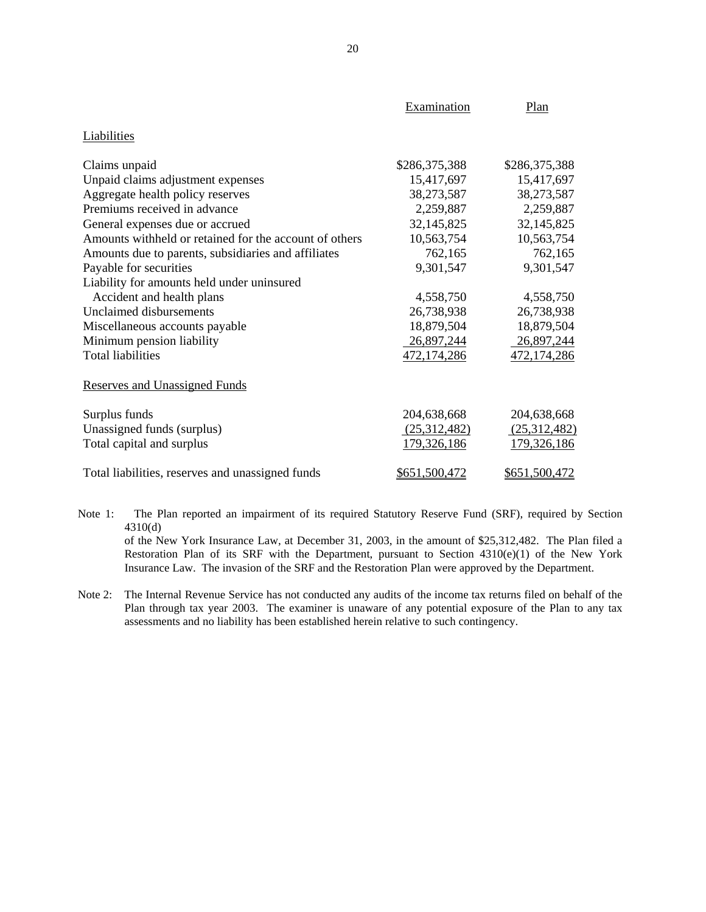|                                                        | Examination   | Plan          |
|--------------------------------------------------------|---------------|---------------|
| Liabilities                                            |               |               |
| Claims unpaid                                          | \$286,375,388 | \$286,375,388 |
| Unpaid claims adjustment expenses                      | 15,417,697    | 15,417,697    |
| Aggregate health policy reserves                       | 38,273,587    | 38,273,587    |
| Premiums received in advance                           | 2,259,887     | 2,259,887     |
| General expenses due or accrued                        | 32,145,825    | 32,145,825    |
| Amounts withheld or retained for the account of others | 10,563,754    | 10,563,754    |
| Amounts due to parents, subsidiaries and affiliates    | 762,165       | 762,165       |
| Payable for securities                                 | 9,301,547     | 9,301,547     |
| Liability for amounts held under uninsured             |               |               |
| Accident and health plans                              | 4,558,750     | 4,558,750     |
| Unclaimed disbursements                                | 26,738,938    | 26,738,938    |
| Miscellaneous accounts payable                         | 18,879,504    | 18,879,504    |
| Minimum pension liability                              | 26,897,244    | 26,897,244    |
| <b>Total liabilities</b>                               | 472,174,286   | 472,174,286   |
| <b>Reserves and Unassigned Funds</b>                   |               |               |
| Surplus funds                                          | 204,638,668   | 204,638,668   |
| Unassigned funds (surplus)                             | (25,312,482)  | (25,312,482)  |
| Total capital and surplus                              | 179,326,186   | 179,326,186   |
| Total liabilities, reserves and unassigned funds       | \$651,500,472 | \$651,500,472 |

Note 1: The Plan reported an impairment of its required Statutory Reserve Fund (SRF), required by Section 4310(d)

of the New York Insurance Law, at December 31, 2003, in the amount of \$25,312,482. The Plan filed a Restoration Plan of its SRF with the Department, pursuant to Section 4310(e)(1) of the New York Insurance Law. The invasion of the SRF and the Restoration Plan were approved by the Department.

Note 2: The Internal Revenue Service has not conducted any audits of the income tax returns filed on behalf of the Plan through tax year 2003. The examiner is unaware of any potential exposure of the Plan to any tax assessments and no liability has been established herein relative to such contingency.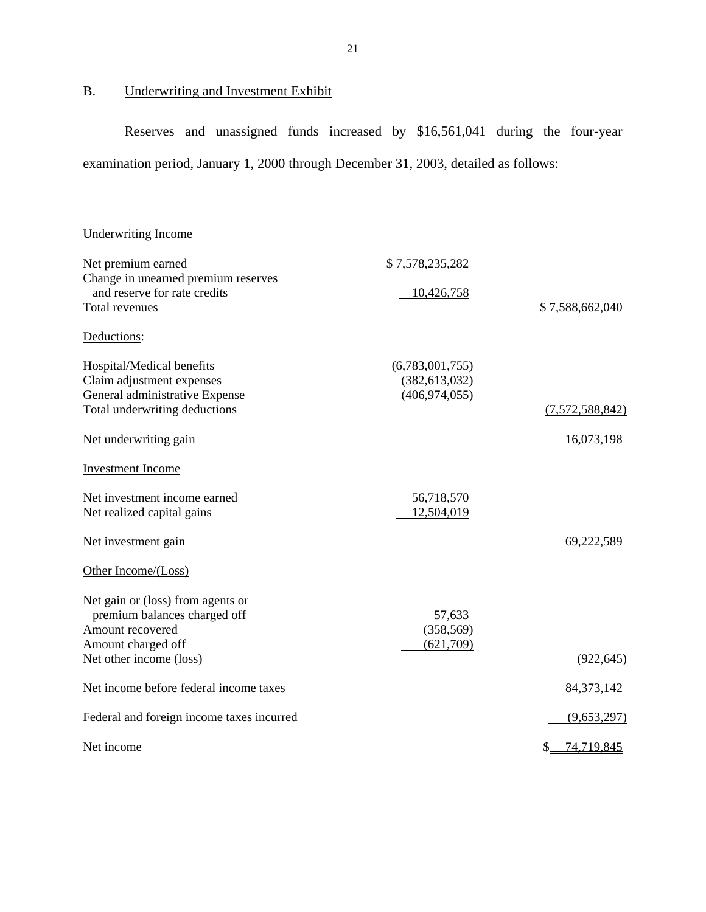# **Underwriting and Investment Exhibit**

B. Underwriting and Investment Exhibit<br>Reserves and unassigned funds increased by \$16,561,041 during the four-year examination period, January 1, 2000 through December 31, 2003, detailed as follows:

## Underwriting Income

| Net premium earned                        | \$7,578,235,282 |                 |
|-------------------------------------------|-----------------|-----------------|
| Change in unearned premium reserves       |                 |                 |
| and reserve for rate credits              | 10,426,758      |                 |
| Total revenues                            |                 | \$7,588,662,040 |
| Deductions:                               |                 |                 |
| Hospital/Medical benefits                 | (6,783,001,755) |                 |
| Claim adjustment expenses                 | (382, 613, 032) |                 |
| General administrative Expense            | (406, 974, 055) |                 |
| Total underwriting deductions             |                 | (7,572,588,842) |
| Net underwriting gain                     |                 | 16,073,198      |
| <b>Investment Income</b>                  |                 |                 |
| Net investment income earned              | 56,718,570      |                 |
| Net realized capital gains                | 12,504,019      |                 |
| Net investment gain                       |                 | 69,222,589      |
| Other Income/(Loss)                       |                 |                 |
| Net gain or (loss) from agents or         |                 |                 |
| premium balances charged off              | 57,633          |                 |
| Amount recovered                          | (358, 569)      |                 |
| Amount charged off                        | (621,709)       |                 |
| Net other income (loss)                   |                 | (922, 645)      |
| Net income before federal income taxes    |                 | 84, 373, 142    |
| Federal and foreign income taxes incurred |                 | (9,653,297)     |
| Net income                                |                 | 74,719,845      |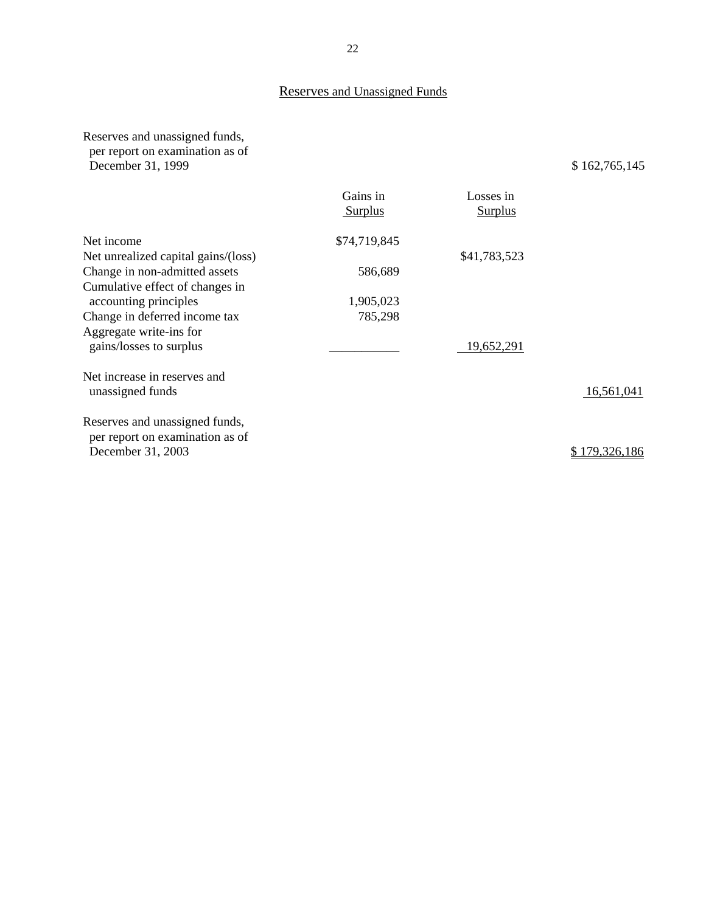# Reserves and Unassigned Funds

Reserves and unassigned funds, per report on examination as of December 31, 1999

\$ 162,765,145

|                                                                   | Gains in<br><b>Surplus</b> | Losses in<br><b>Surplus</b> |               |
|-------------------------------------------------------------------|----------------------------|-----------------------------|---------------|
| Net income                                                        | \$74,719,845               |                             |               |
| Net unrealized capital gains/(loss)                               |                            | \$41,783,523                |               |
| Change in non-admitted assets                                     | 586,689                    |                             |               |
| Cumulative effect of changes in                                   |                            |                             |               |
| accounting principles                                             | 1,905,023                  |                             |               |
| Change in deferred income tax                                     | 785,298                    |                             |               |
| Aggregate write-ins for<br>gains/losses to surplus                |                            | 19,652,291                  |               |
| Net increase in reserves and<br>unassigned funds                  |                            |                             | 16,561,041    |
| Reserves and unassigned funds,<br>per report on examination as of |                            |                             |               |
| December 31, 2003                                                 |                            |                             | \$179,326,186 |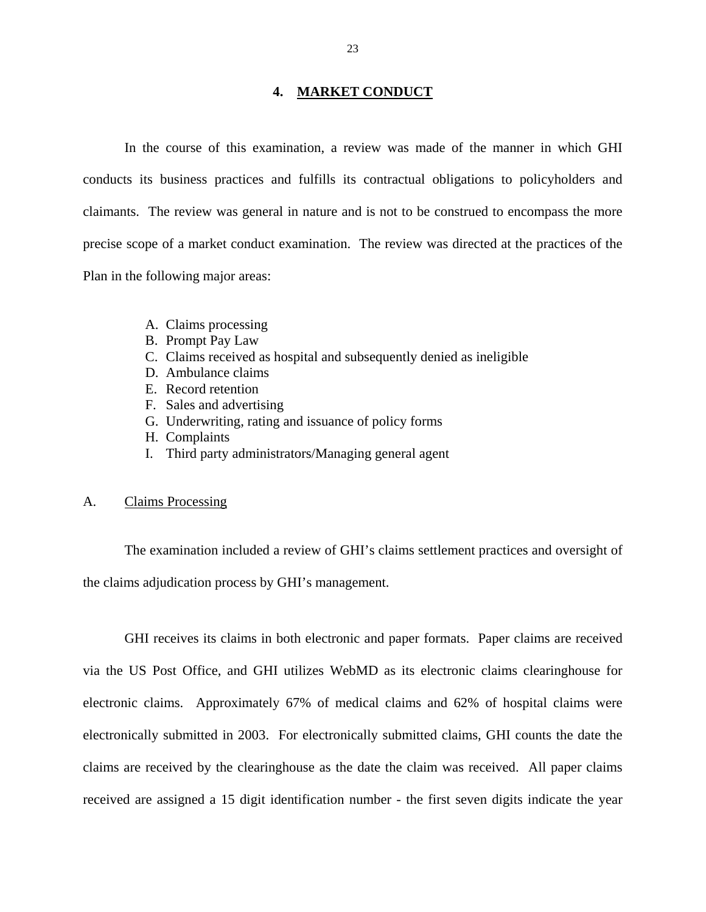#### **4. MARKET CONDUCT**

<span id="page-24-0"></span>In the course of this examination, a review was made of the manner in which GHI conducts its business practices and fulfills its contractual obligations to policyholders and claimants. The review was general in nature and is not to be construed to encompass the more precise scope of a market conduct examination. The review was directed at the practices of the Plan in the following major areas:

- A. Claims processing
- B. Prompt Pay Law
- C. Claims received as hospital and subsequently denied as ineligible
- D. Ambulance claims E. Record retention
- 
- F. Sales and advertising
- G. Underwriting, rating and issuance of policy forms
- H. Complaints
- I. Third party administrators/Managing general agent

#### A. Claims Processing

The examination included a review of GHI's claims settlement practices and oversight of the claims adjudication process by GHI's management.

GHI receives its claims in both electronic and paper formats. Paper claims are received via the US Post Office, and GHI utilizes WebMD as its electronic claims clearinghouse for electronic claims. Approximately 67% of medical claims and 62% of hospital claims were electronically submitted in 2003. For electronically submitted claims, GHI counts the date the claims are received by the clearinghouse as the date the claim was received. All paper claims received are assigned a 15 digit identification number - the first seven digits indicate the year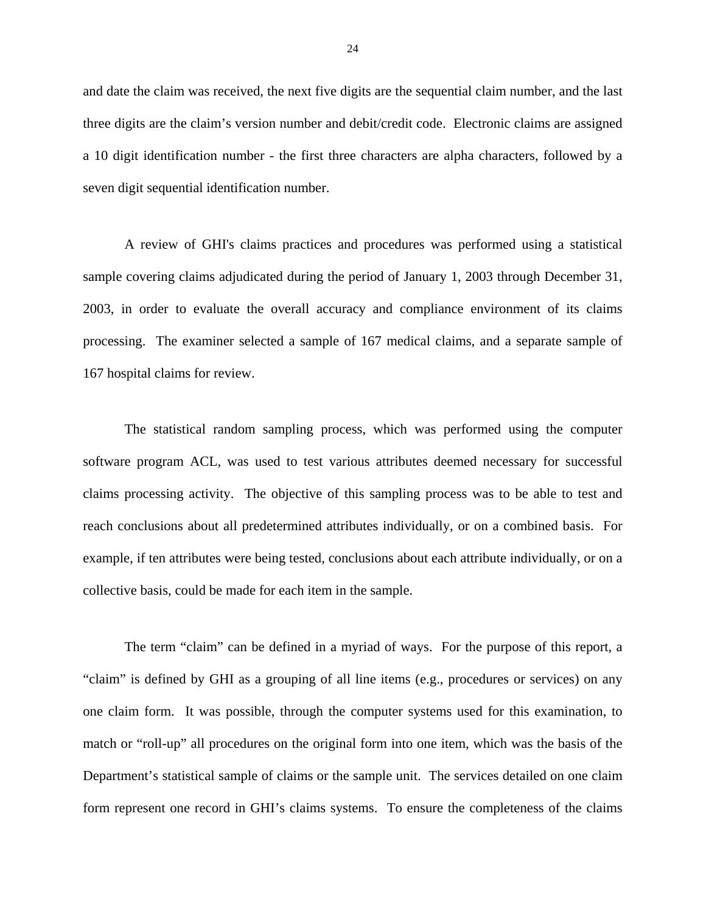and date the claim was received, the next five digits are the sequential claim number, and the last three digits are the claim's version number and debit/credit code. Electronic claims are assigned a 10 digit identification number - the first three characters are alpha characters, followed by a seven digit sequential identification number.

A review of GHI's claims practices and procedures was performed using a statistical sample covering claims adjudicated during the period of January 1, 2003 through December 31, 2003, in order to evaluate the overall accuracy and compliance environment of its claims processing. The examiner selected a sample of 167 medical claims, and a separate sample of 167 hospital claims for review.

The statistical random sampling process, which was performed using the computer software program ACL, was used to test various attributes deemed necessary for successful claims processing activity. The objective of this sampling process was to be able to test and reach conclusions about all predetermined attributes individually, or on a combined basis. For example, if ten attributes were being tested, conclusions about each attribute individually, or on a collective basis, could be made for each item in the sample.

The term "claim" can be defined in a myriad of ways. For the purpose of this report, a "claim" is defined by GHI as a grouping of all line items (e.g., procedures or services) on any one claim form. It was possible, through the computer systems used for this examination, to match or "roll-up" all procedures on the original form into one item, which was the basis of the Department's statistical sample of claims or the sample unit. The services detailed on one claim form represent one record in GHI's claims systems. To ensure the completeness of the claims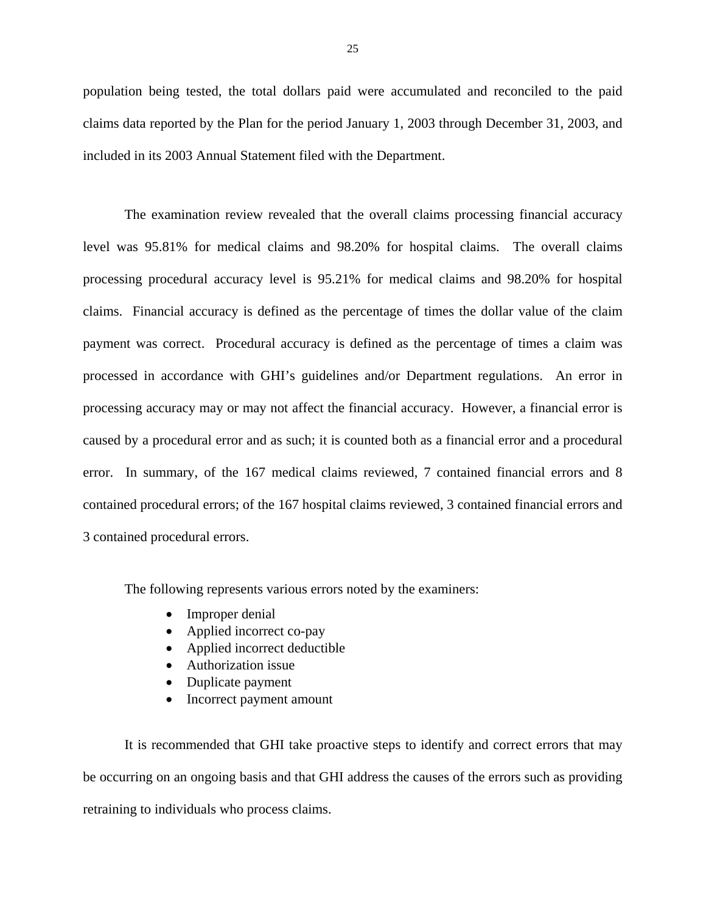population being tested, the total dollars paid were accumulated and reconciled to the paid claims data reported by the Plan for the period January 1, 2003 through December 31, 2003, and included in its 2003 Annual Statement filed with the Department.

The examination review revealed that the overall claims processing financial accuracy level was 95.81% for medical claims and 98.20% for hospital claims. The overall claims processing procedural accuracy level is 95.21% for medical claims and 98.20% for hospital claims. Financial accuracy is defined as the percentage of times the dollar value of the claim payment was correct. Procedural accuracy is defined as the percentage of times a claim was processed in accordance with GHI's guidelines and/or Department regulations. An error in processing accuracy may or may not affect the financial accuracy. However, a financial error is caused by a procedural error and as such; it is counted both as a financial error and a procedural error. In summary, of the 167 medical claims reviewed, 7 contained financial errors and 8 contained procedural errors; of the 167 hospital claims reviewed, 3 contained financial errors and 3 contained procedural errors.

The following represents various errors noted by the examiners:

- Improper denial
- Applied incorrect co-pay
- Applied incorrect deductible
- Authorization issue
- Duplicate payment
- Incorrect payment amount

It is recommended that GHI take proactive steps to identify and correct errors that may be occurring on an ongoing basis and that GHI address the causes of the errors such as providing retraining to individuals who process claims.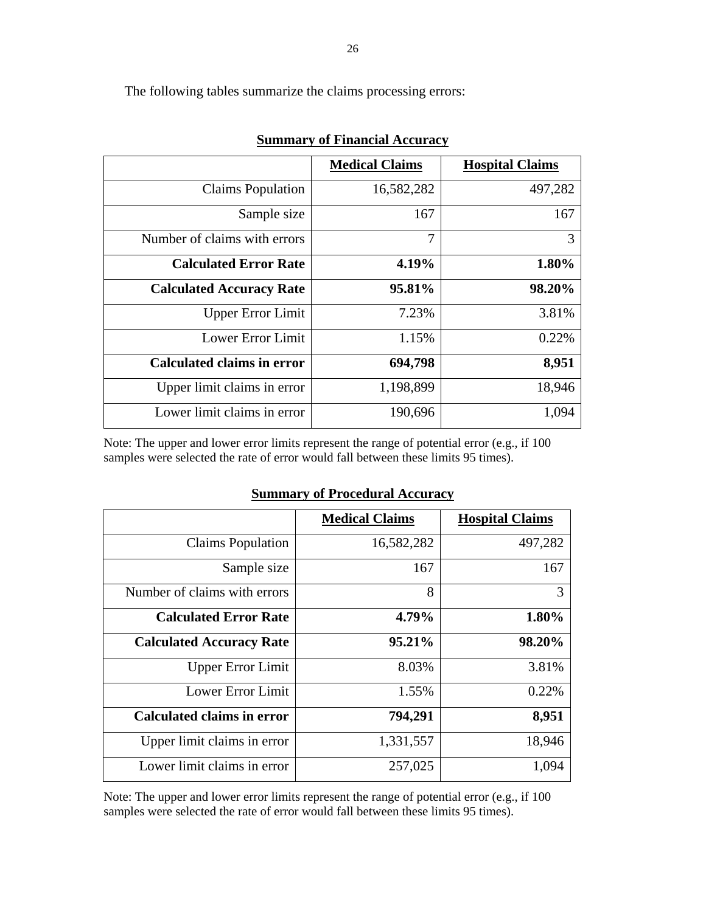| The following tables summarize the claims processing errors: |  |
|--------------------------------------------------------------|--|

|                                   | <b>Medical Claims</b> | <b>Hospital Claims</b> |
|-----------------------------------|-----------------------|------------------------|
| <b>Claims Population</b>          | 16,582,282            | 497,282                |
| Sample size                       | 167                   | 167                    |
| Number of claims with errors      | 7                     | 3                      |
| <b>Calculated Error Rate</b>      | 4.19%                 | 1.80%                  |
| <b>Calculated Accuracy Rate</b>   | 95.81%                | 98.20%                 |
| <b>Upper Error Limit</b>          | 7.23%                 | 3.81%                  |
| Lower Error Limit                 | 1.15%                 | 0.22%                  |
| <b>Calculated claims in error</b> | 694,798               | 8,951                  |
| Upper limit claims in error       | 1,198,899             | 18,946                 |
| Lower limit claims in error       | 190,696               | 1,094                  |

**Summary of Financial Accuracy** 

Note: The upper and lower error limits represent the range of potential error (e.g., if 100 samples were selected the rate of error would fall between these limits 95 times).

|                                   | <b>Medical Claims</b> | <b>Hospital Claims</b> |
|-----------------------------------|-----------------------|------------------------|
| <b>Claims Population</b>          | 16,582,282            | 497,282                |
| Sample size                       | 167                   | 167                    |
| Number of claims with errors      | 8                     | 3                      |
| <b>Calculated Error Rate</b>      | 4.79%                 | 1.80%                  |
| <b>Calculated Accuracy Rate</b>   | 95.21%                | 98.20%                 |
| <b>Upper Error Limit</b>          | 8.03%                 | 3.81%                  |
| Lower Error Limit                 | 1.55%                 | 0.22%                  |
| <b>Calculated claims in error</b> | 794,291               | 8,951                  |
| Upper limit claims in error       | 1,331,557             | 18,946                 |
| Lower limit claims in error       | 257,025               | 1,094                  |

Note: The upper and lower error limits represent the range of potential error (e.g., if 100 samples were selected the rate of error would fall between these limits 95 times).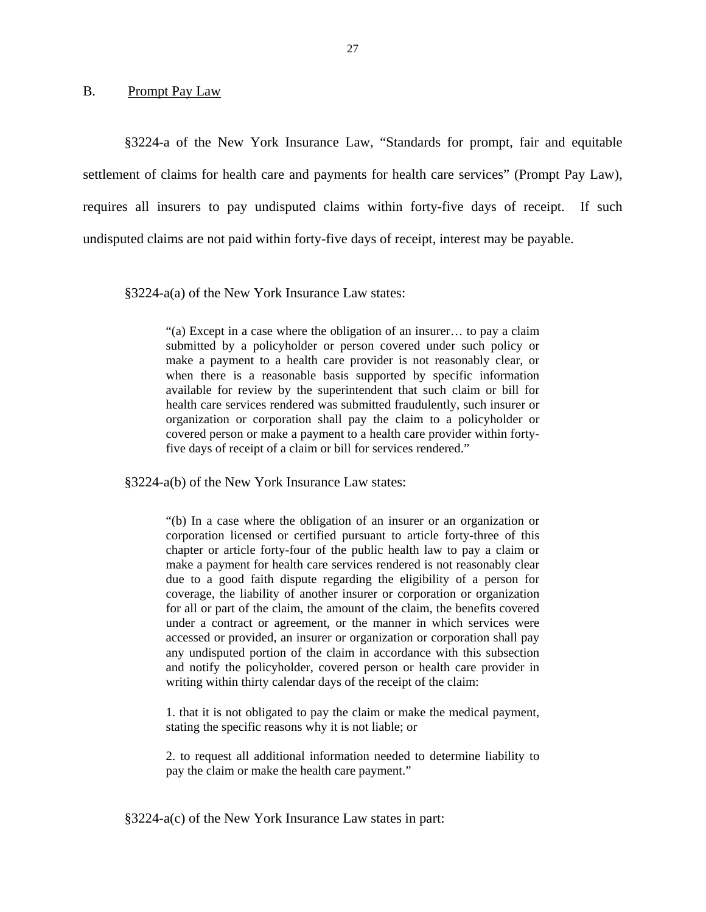#### <span id="page-28-0"></span>B. Prompt Pay Law

§3224-a of the New York Insurance Law, "Standards for prompt, fair and equitable settlement of claims for health care and payments for health care services" (Prompt Pay Law), requires all insurers to pay undisputed claims within forty-five days of receipt. If such undisputed claims are not paid within forty-five days of receipt, interest may be payable.

§3224-a(a) of the New York Insurance Law states:

 "(a) Except in a case where the obligation of an insurer… to pay a claim submitted by a policyholder or person covered under such policy or make a payment to a health care provider is not reasonably clear, or when there is a reasonable basis supported by specific information available for review by the superintendent that such claim or bill for health care services rendered was submitted fraudulently, such insurer or organization or corporation shall pay the claim to a policyholder or covered person or make a payment to a health care provider within fortyfive days of receipt of a claim or bill for services rendered."

§3224-a(b) of the New York Insurance Law states:

 chapter or article forty-four of the public health law to pay a claim or "(b) In a case where the obligation of an insurer or an organization or corporation licensed or certified pursuant to article forty-three of this make a payment for health care services rendered is not reasonably clear due to a good faith dispute regarding the eligibility of a person for coverage, the liability of another insurer or corporation or organization for all or part of the claim, the amount of the claim, the benefits covered under a contract or agreement, or the manner in which services were accessed or provided, an insurer or organization or corporation shall pay any undisputed portion of the claim in accordance with this subsection and notify the policyholder, covered person or health care provider in writing within thirty calendar days of the receipt of the claim:

1. that it is not obligated to pay the claim or make the medical payment, stating the specific reasons why it is not liable; or

2. to request all additional information needed to determine liability to pay the claim or make the health care payment."

§3224-a(c) of the New York Insurance Law states in part: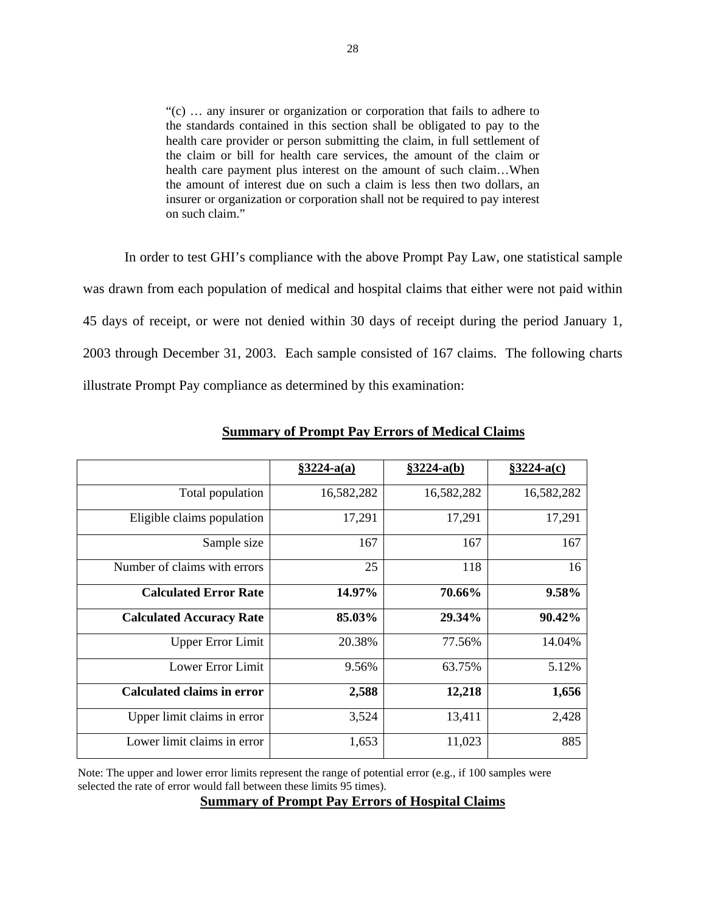"(c) … any insurer or organization or corporation that fails to adhere to the standards contained in this section shall be obligated to pay to the health care provider or person submitting the claim, in full settlement of the claim or bill for health care services, the amount of the claim or health care payment plus interest on the amount of such claim…When the amount of interest due on such a claim is less then two dollars, an insurer or organization or corporation shall not be required to pay interest on such claim."

In order to test GHI's compliance with the above Prompt Pay Law, one statistical sample was drawn from each population of medical and hospital claims that either were not paid within 45 days of receipt, or were not denied within 30 days of receipt during the period January 1, 2003 through December 31, 2003. Each sample consisted of 167 claims. The following charts illustrate Prompt Pay compliance as determined by this examination:

|                                   | $§3224-a(a)$ | $§3224-a(b)$ | $§3224-a(c)$ |
|-----------------------------------|--------------|--------------|--------------|
| Total population                  | 16,582,282   | 16,582,282   | 16,582,282   |
| Eligible claims population        | 17,291       | 17,291       | 17,291       |
| Sample size                       | 167          | 167          | 167          |
| Number of claims with errors      | 25           | 118          | 16           |
| <b>Calculated Error Rate</b>      | 14.97%       | 70.66%       | 9.58%        |
| <b>Calculated Accuracy Rate</b>   | 85.03%       | 29.34%       | 90.42%       |
| <b>Upper Error Limit</b>          | 20.38%       | 77.56%       | 14.04%       |
| Lower Error Limit                 | 9.56%        | 63.75%       | 5.12%        |
| <b>Calculated claims in error</b> | 2,588        | 12,218       | 1,656        |
| Upper limit claims in error       | 3,524        | 13,411       | 2,428        |
| Lower limit claims in error       | 1,653        | 11,023       | 885          |

**Summary of Prompt Pay Errors of Medical Claims** 

Note: The upper and lower error limits represent the range of potential error (e.g., if 100 samples were selected the rate of error would fall between these limits 95 times).

**Summary of Prompt Pay Errors of Hospital Claims**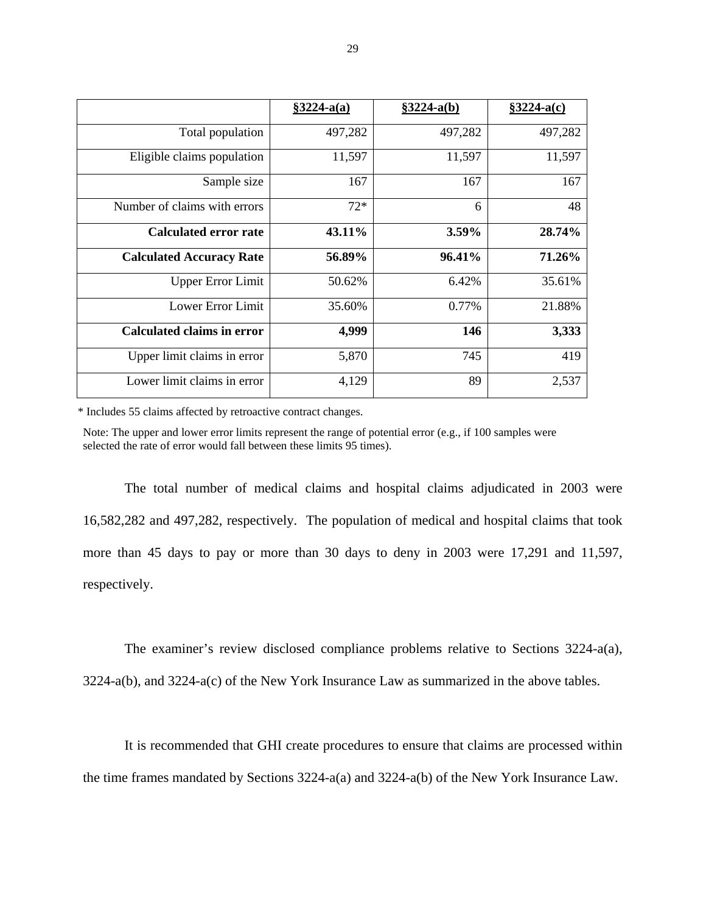|                                   | $§3224-a(a)$ | $§3224-a(b)$ | $§3224-a(c)$ |
|-----------------------------------|--------------|--------------|--------------|
| Total population                  | 497,282      | 497,282      | 497,282      |
| Eligible claims population        | 11,597       | 11,597       | 11,597       |
| Sample size                       | 167          | 167          | 167          |
| Number of claims with errors      | $72*$        | 6            | 48           |
| Calculated error rate             | 43.11%       | 3.59%        | 28.74%       |
| <b>Calculated Accuracy Rate</b>   | 56.89%       | 96.41%       | 71.26%       |
| <b>Upper Error Limit</b>          | 50.62%       | 6.42%        | 35.61%       |
| Lower Error Limit                 | 35.60%       | 0.77%        | 21.88%       |
| <b>Calculated claims in error</b> | 4,999        | 146          | 3,333        |
| Upper limit claims in error       | 5,870        | 745          | 419          |
| Lower limit claims in error       | 4,129        | 89           | 2,537        |

\* Includes 55 claims affected by retroactive contract changes.

Note: The upper and lower error limits represent the range of potential error (e.g., if 100 samples were selected the rate of error would fall between these limits 95 times).

The total number of medical claims and hospital claims adjudicated in 2003 were 16,582,282 and 497,282, respectively. The population of medical and hospital claims that took more than 45 days to pay or more than 30 days to deny in 2003 were 17,291 and 11,597, respectively.

The examiner's review disclosed compliance problems relative to Sections 3224-a(a), 3224-a(b), and 3224-a(c) of the New York Insurance Law as summarized in the above tables.

It is recommended that GHI create procedures to ensure that claims are processed within the time frames mandated by Sections 3224-a(a) and 3224-a(b) of the New York Insurance Law.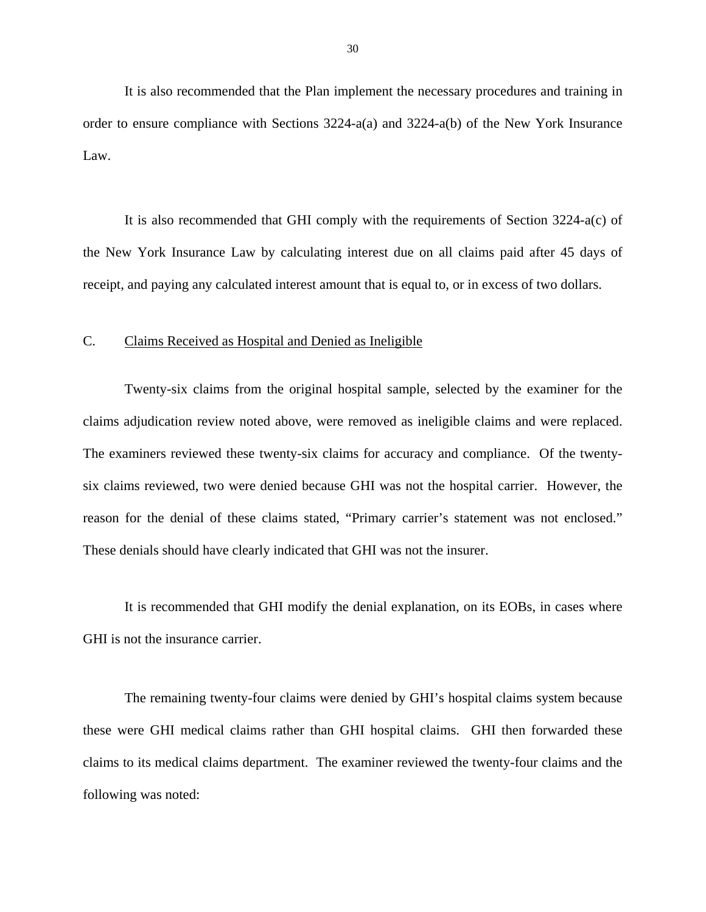<span id="page-31-0"></span>It is also recommended that the Plan implement the necessary procedures and training in order to ensure compliance with Sections 3224-a(a) and 3224-a(b) of the New York Insurance Law.

It is also recommended that GHI comply with the requirements of Section 3224-a(c) of the New York Insurance Law by calculating interest due on all claims paid after 45 days of receipt, and paying any calculated interest amount that is equal to, or in excess of two dollars.

#### C. Claims Received as Hospital and Denied as Ineligible

Twenty-six claims from the original hospital sample, selected by the examiner for the claims adjudication review noted above, were removed as ineligible claims and were replaced. The examiners reviewed these twenty-six claims for accuracy and compliance. Of the twentysix claims reviewed, two were denied because GHI was not the hospital carrier. However, the reason for the denial of these claims stated, "Primary carrier's statement was not enclosed." These denials should have clearly indicated that GHI was not the insurer.

It is recommended that GHI modify the denial explanation, on its EOBs, in cases where GHI is not the insurance carrier.

The remaining twenty-four claims were denied by GHI's hospital claims system because these were GHI medical claims rather than GHI hospital claims. GHI then forwarded these claims to its medical claims department. The examiner reviewed the twenty-four claims and the following was noted: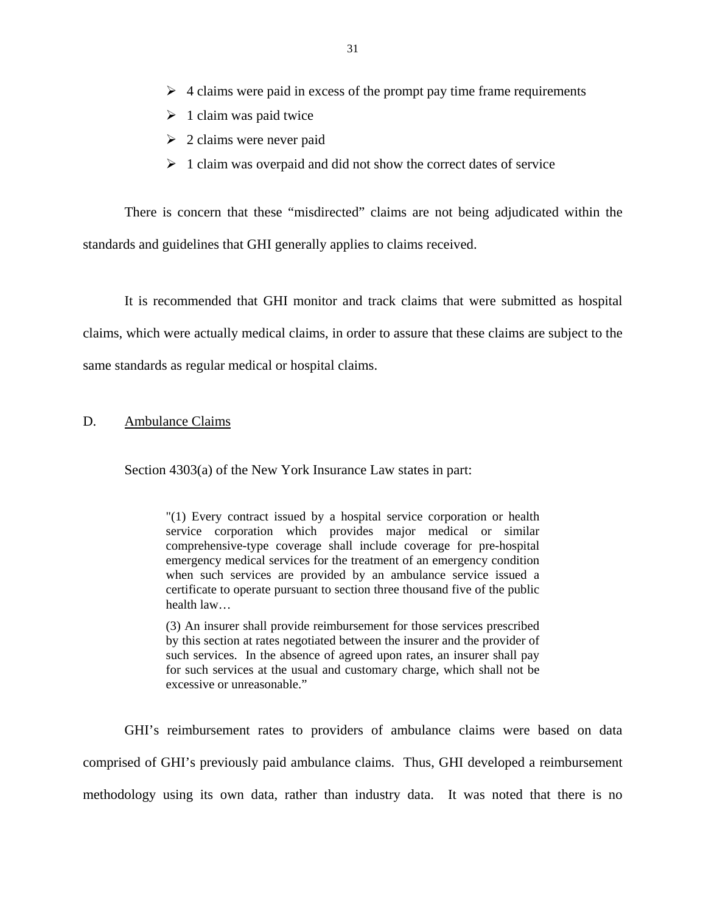- <span id="page-32-0"></span> $\geq 4$  claims were paid in excess of the prompt pay time frame requirements
- $\geq 1$  claim was paid twice
- $\geq 2$  claims were never paid
- $\geq 1$  claim was overpaid and did not show the correct dates of service

There is concern that these "misdirected" claims are not being adjudicated within the standards and guidelines that GHI generally applies to claims received.

It is recommended that GHI monitor and track claims that were submitted as hospital claims, which were actually medical claims, in order to assure that these claims are subject to the same standards as regular medical or hospital claims.

#### D. Ambulance Claims

Section 4303(a) of the New York Insurance Law states in part:

"(1) Every contract issued by a hospital service corporation or health service corporation which provides major medical or similar comprehensive-type coverage shall include coverage for pre-hospital emergency medical services for the treatment of an emergency condition when such services are provided by an ambulance service issued a certificate to operate pursuant to section three thousand five of the public health law…

(3) An insurer shall provide reimbursement for those services prescribed by this section at rates negotiated between the insurer and the provider of such services. In the absence of agreed upon rates, an insurer shall pay for such services at the usual and customary charge, which shall not be excessive or unreasonable."

GHI's reimbursement rates to providers of ambulance claims were based on data comprised of GHI's previously paid ambulance claims. Thus, GHI developed a reimbursement methodology using its own data, rather than industry data. It was noted that there is no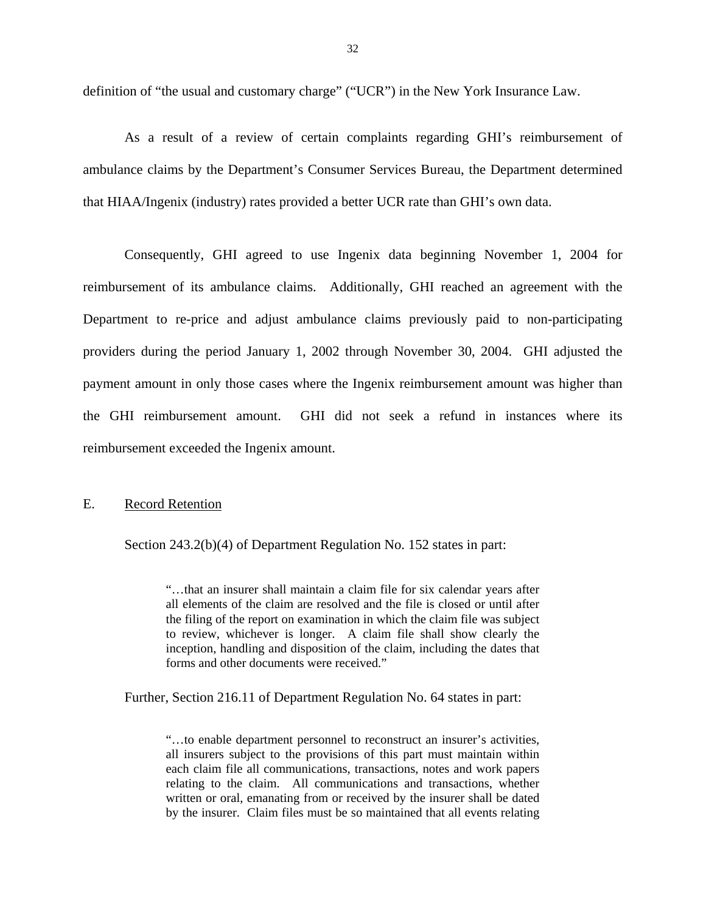<span id="page-33-0"></span>definition of "the usual and customary charge" ("UCR") in the New York Insurance Law.

As a result of a review of certain complaints regarding GHI's reimbursement of ambulance claims by the Department's Consumer Services Bureau, the Department determined that HIAA/Ingenix (industry) rates provided a better UCR rate than GHI's own data.

Consequently, GHI agreed to use Ingenix data beginning November 1, 2004 for reimbursement of its ambulance claims. Additionally, GHI reached an agreement with the Department to re-price and adjust ambulance claims previously paid to non-participating providers during the period January 1, 2002 through November 30, 2004. GHI adjusted the payment amount in only those cases where the Ingenix reimbursement amount was higher than the GHI reimbursement amount. GHI did not seek a refund in instances where its reimbursement exceeded the Ingenix amount.

#### E. Record Retention

Section 243.2(b)(4) of Department Regulation No. 152 states in part:

"…that an insurer shall maintain a claim file for six calendar years after all elements of the claim are resolved and the file is closed or until after the filing of the report on examination in which the claim file was subject to review, whichever is longer. A claim file shall show clearly the inception, handling and disposition of the claim, including the dates that forms and other documents were received."

Further, Section 216.11 of Department Regulation No. 64 states in part:

"…to enable department personnel to reconstruct an insurer's activities, all insurers subject to the provisions of this part must maintain within each claim file all communications, transactions, notes and work papers relating to the claim. All communications and transactions, whether written or oral, emanating from or received by the insurer shall be dated by the insurer. Claim files must be so maintained that all events relating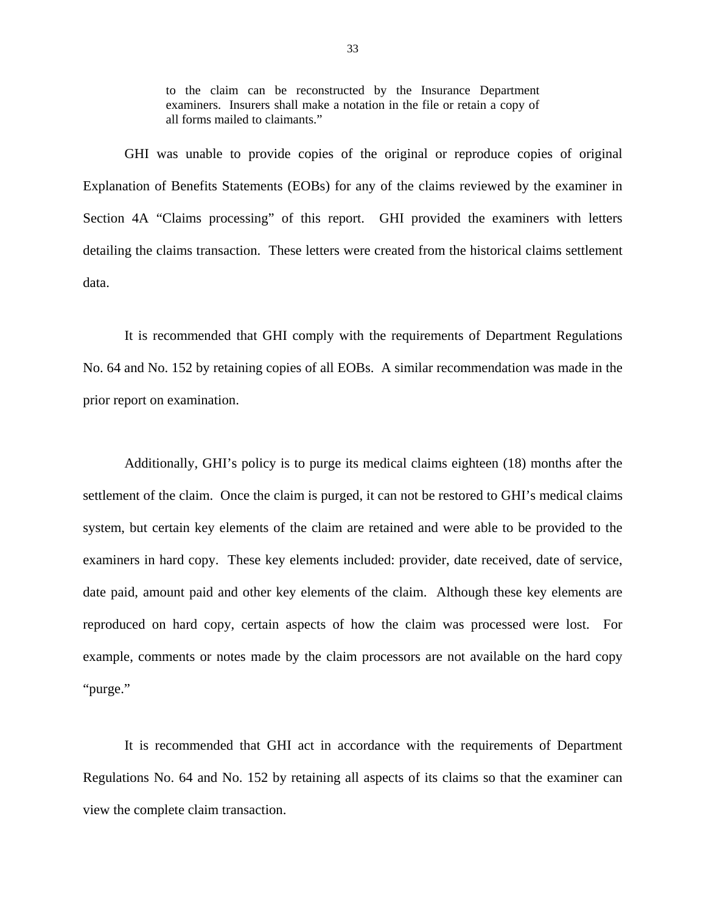to the claim can be reconstructed by the Insurance Department examiners. Insurers shall make a notation in the file or retain a copy of all forms mailed to claimants."

GHI was unable to provide copies of the original or reproduce copies of original Explanation of Benefits Statements (EOBs) for any of the claims reviewed by the examiner in Section 4A "Claims processing" of this report. GHI provided the examiners with letters detailing the claims transaction. These letters were created from the historical claims settlement data.

It is recommended that GHI comply with the requirements of Department Regulations No. 64 and No. 152 by retaining copies of all EOBs. A similar recommendation was made in the prior report on examination.

Additionally, GHI's policy is to purge its medical claims eighteen (18) months after the settlement of the claim. Once the claim is purged, it can not be restored to GHI's medical claims system, but certain key elements of the claim are retained and were able to be provided to the examiners in hard copy. These key elements included: provider, date received, date of service, date paid, amount paid and other key elements of the claim. Although these key elements are reproduced on hard copy, certain aspects of how the claim was processed were lost. For example, comments or notes made by the claim processors are not available on the hard copy "purge."

It is recommended that GHI act in accordance with the requirements of Department Regulations No. 64 and No. 152 by retaining all aspects of its claims so that the examiner can view the complete claim transaction.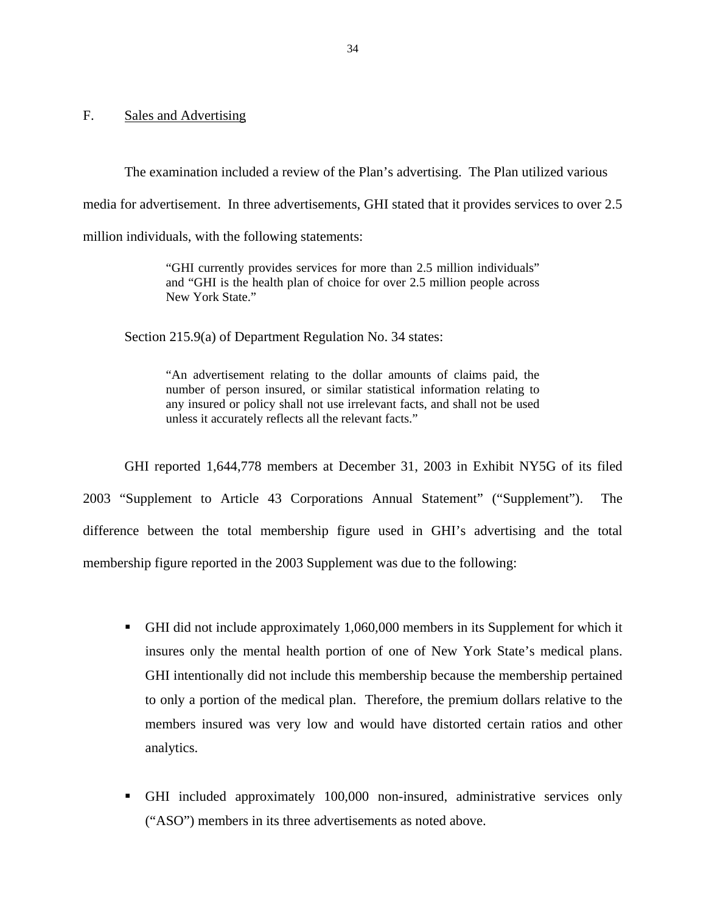#### <span id="page-35-0"></span>F. Sales and Advertising

The examination included a review of the Plan's advertising. The Plan utilized various media for advertisement. In three advertisements, GHI stated that it provides services to over 2.5 million individuals, with the following statements:

> "GHI currently provides services for more than 2.5 million individuals" and "GHI is the health plan of choice for over 2.5 million people across New York State."

Section 215.9(a) of Department Regulation No. 34 states:

"An advertisement relating to the dollar amounts of claims paid, the number of person insured, or similar statistical information relating to any insured or policy shall not use irrelevant facts, and shall not be used unless it accurately reflects all the relevant facts."

GHI reported 1,644,778 members at December 31, 2003 in Exhibit NY5G of its filed 2003 "Supplement to Article 43 Corporations Annual Statement" ("Supplement"). The difference between the total membership figure used in GHI's advertising and the total membership figure reported in the 2003 Supplement was due to the following:

- GHI did not include approximately 1,060,000 members in its Supplement for which it insures only the mental health portion of one of New York State's medical plans. GHI intentionally did not include this membership because the membership pertained to only a portion of the medical plan. Therefore, the premium dollars relative to the members insured was very low and would have distorted certain ratios and other analytics.
- GHI included approximately 100,000 non-insured, administrative services only ("ASO") members in its three advertisements as noted above.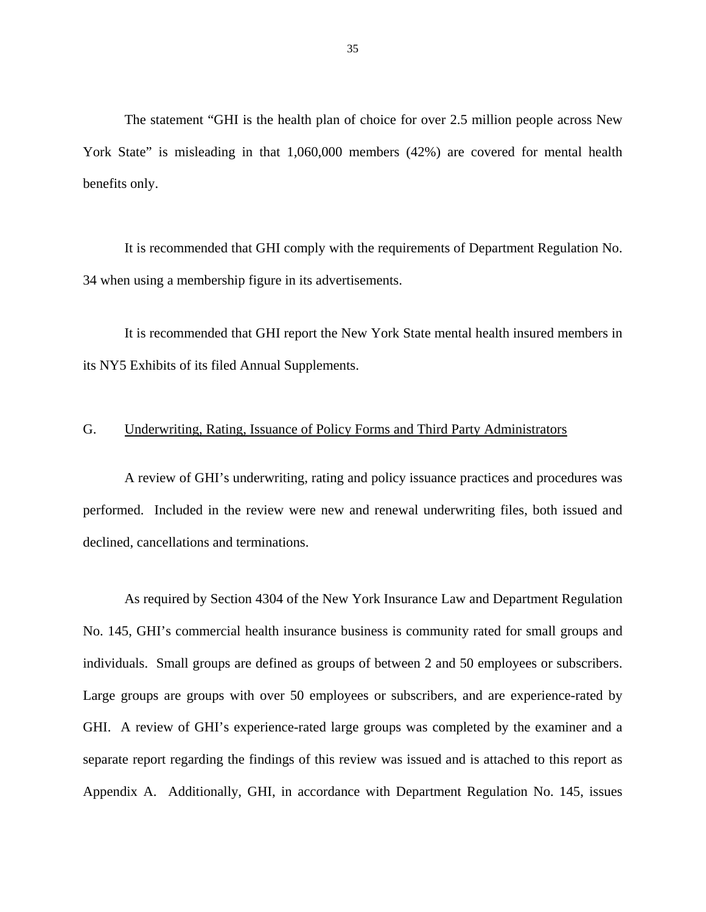<span id="page-36-0"></span>The statement "GHI is the health plan of choice for over 2.5 million people across New York State" is misleading in that 1,060,000 members (42%) are covered for mental health benefits only.

It is recommended that GHI comply with the requirements of Department Regulation No. 34 when using a membership figure in its advertisements.

It is recommended that GHI report the New York State mental health insured members in its NY5 Exhibits of its filed Annual Supplements.

#### G. Underwriting, Rating, Issuance of Policy Forms and Third Party Administrators

A review of GHI's underwriting, rating and policy issuance practices and procedures was performed. Included in the review were new and renewal underwriting files, both issued and declined, cancellations and terminations.

As required by Section 4304 of the New York Insurance Law and Department Regulation No. 145, GHI's commercial health insurance business is community rated for small groups and individuals. Small groups are defined as groups of between 2 and 50 employees or subscribers. Large groups are groups with over 50 employees or subscribers, and are experience-rated by GHI. A review of GHI's experience-rated large groups was completed by the examiner and a separate report regarding the findings of this review was issued and is attached to this report as Appendix A. Additionally, GHI, in accordance with Department Regulation No. 145, issues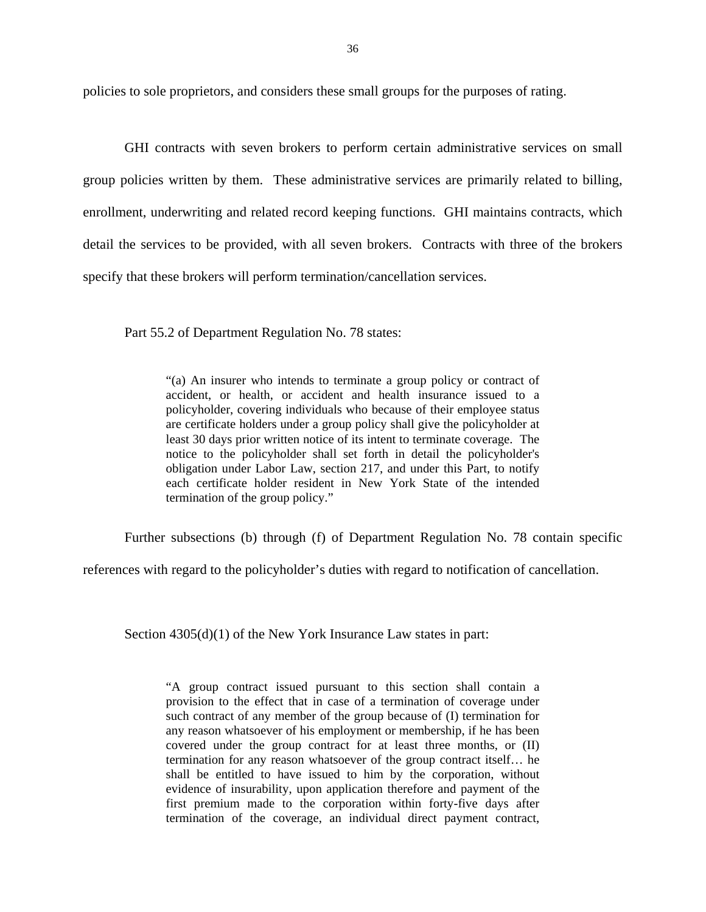policies to sole proprietors, and considers these small groups for the purposes of rating.

GHI contracts with seven brokers to perform certain administrative services on small group policies written by them. These administrative services are primarily related to billing, enrollment, underwriting and related record keeping functions. GHI maintains contracts, which detail the services to be provided, with all seven brokers. Contracts with three of the brokers specify that these brokers will perform termination/cancellation services.

Part 55.2 of Department Regulation No. 78 states:

"(a) An insurer who intends to terminate a group policy or contract of accident, or health, or accident and health insurance issued to a policyholder, covering individuals who because of their employee status are certificate holders under a group policy shall give the policyholder at least 30 days prior written notice of its intent to terminate coverage. The notice to the policyholder shall set forth in detail the policyholder's obligation under Labor Law, section 217, and under this Part, to notify each certificate holder resident in New York State of the intended termination of the group policy."

Further subsections (b) through (f) of Department Regulation No. 78 contain specific

references with regard to the policyholder's duties with regard to notification of cancellation.

Section  $4305(d)(1)$  of the New York Insurance Law states in part:

 shall be entitled to have issued to him by the corporation, without "A group contract issued pursuant to this section shall contain a provision to the effect that in case of a termination of coverage under such contract of any member of the group because of (I) termination for any reason whatsoever of his employment or membership, if he has been covered under the group contract for at least three months, or (II) termination for any reason whatsoever of the group contract itself… he evidence of insurability, upon application therefore and payment of the first premium made to the corporation within forty-five days after termination of the coverage, an individual direct payment contract,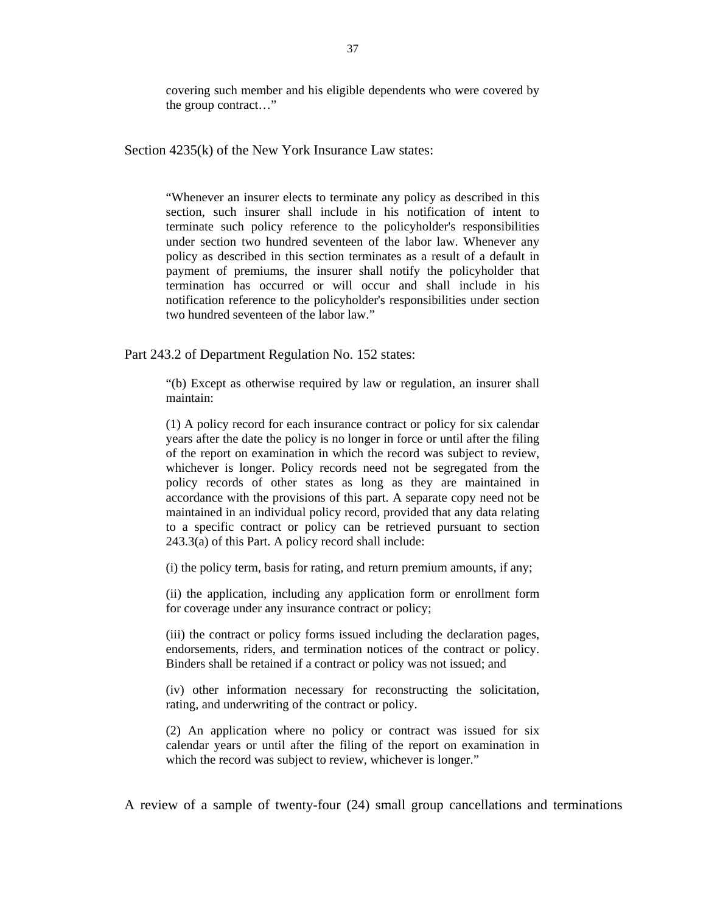covering such member and his eligible dependents who were covered by the group contract…"

Section 4235(k) of the New York Insurance Law states:

"Whenever an insurer elects to terminate any policy as described in this section, such insurer shall include in his notification of intent to terminate such policy reference to the policyholder's responsibilities under section two hundred seventeen of the labor law. Whenever any policy as described in this section terminates as a result of a default in payment of premiums, the insurer shall notify the policyholder that termination has occurred or will occur and shall include in his notification reference to the policyholder's responsibilities under section two hundred seventeen of the labor law."

Part 243.2 of Department Regulation No. 152 states:

"(b) Except as otherwise required by law or regulation, an insurer shall maintain:

(1) A policy record for each insurance contract or policy for six calendar years after the date the policy is no longer in force or until after the filing of the report on examination in which the record was subject to review, whichever is longer. Policy records need not be segregated from the policy records of other states as long as they are maintained in accordance with the provisions of this part. A separate copy need not be maintained in an individual policy record, provided that any data relating to a specific contract or policy can be retrieved pursuant to section 243.3(a) of this Part. A policy record shall include:

(i) the policy term, basis for rating, and return premium amounts, if any;

 for coverage under any insurance contract or policy; (ii) the application, including any application form or enrollment form

(iii) the contract or policy forms issued including the declaration pages, endorsements, riders, and termination notices of the contract or policy. Binders shall be retained if a contract or policy was not issued; and

rating, and underwriting of the contract or policy. (iv) other information necessary for reconstructing the solicitation,

 $r(2)$  An application where no policy or contract was issued for six calendar years or until after the filing of the report on examination in which the record was subject to review, whichever is longer."

A review of a sample of twenty-four (24) small group cancellations and terminations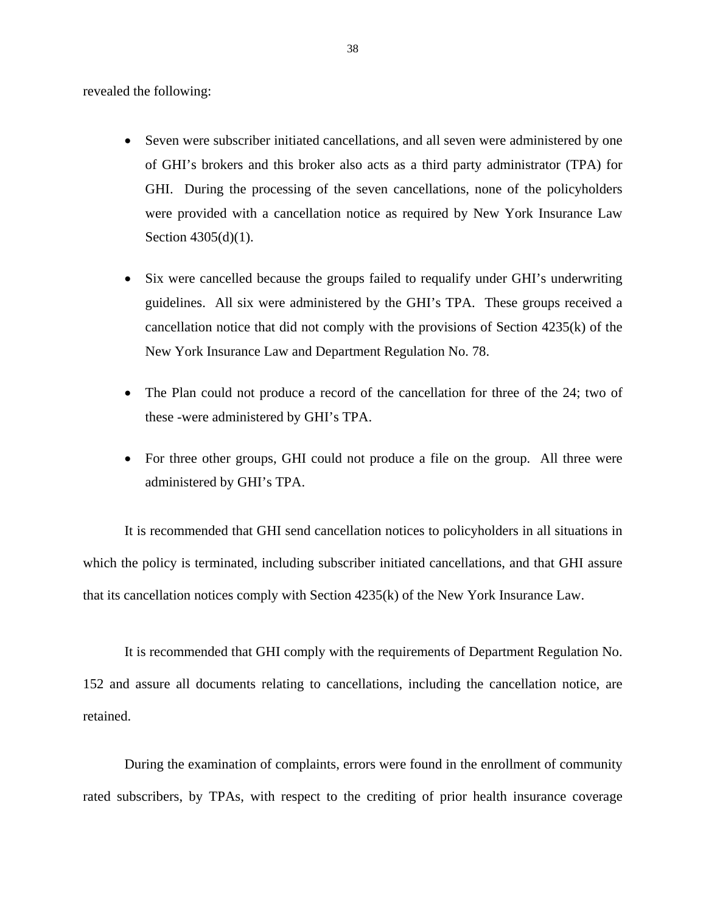revealed the following:

- Seven were subscriber initiated cancellations, and all seven were administered by one of GHI's brokers and this broker also acts as a third party administrator (TPA) for GHI. During the processing of the seven cancellations, none of the policyholders were provided with a cancellation notice as required by New York Insurance Law Section 4305(d)(1).
- Six were cancelled because the groups failed to requalify under GHI's underwriting guidelines. All six were administered by the GHI's TPA. These groups received a cancellation notice that did not comply with the provisions of Section 4235(k) of the New York Insurance Law and Department Regulation No. 78.
- The Plan could not produce a record of the cancellation for three of the 24; two of these -were administered by GHI's TPA.
- For three other groups, GHI could not produce a file on the group. All three were administered by GHI's TPA.

It is recommended that GHI send cancellation notices to policyholders in all situations in which the policy is terminated, including subscriber initiated cancellations, and that GHI assure that its cancellation notices comply with Section 4235(k) of the New York Insurance Law.

It is recommended that GHI comply with the requirements of Department Regulation No. 152 and assure all documents relating to cancellations, including the cancellation notice, are retained.

During the examination of complaints, errors were found in the enrollment of community rated subscribers, by TPAs, with respect to the crediting of prior health insurance coverage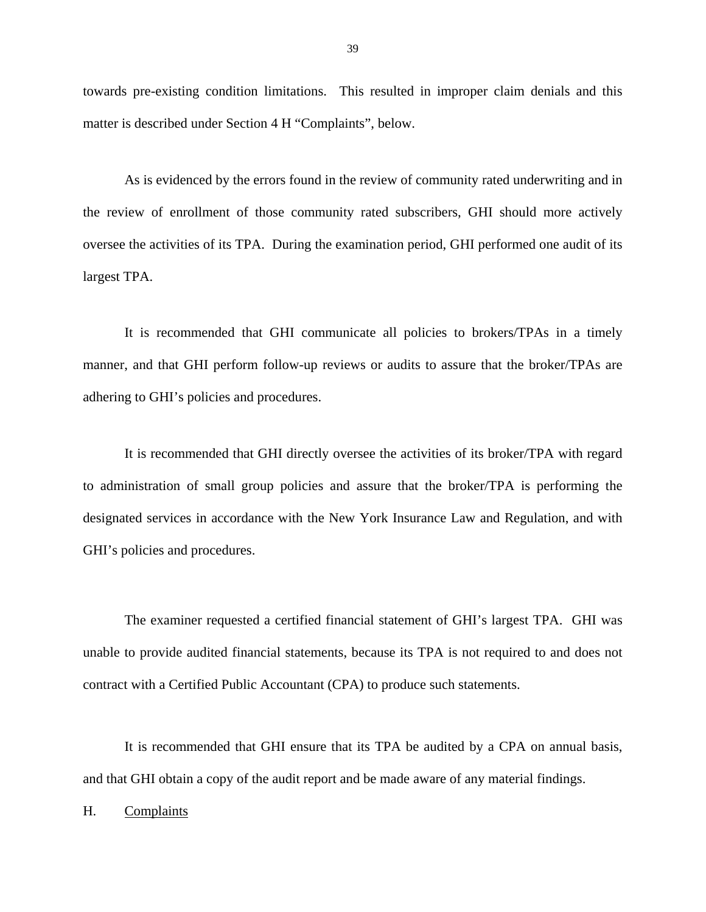towards pre-existing condition limitations. This resulted in improper claim denials and this matter is described under Section 4 H "Complaints", below.

As is evidenced by the errors found in the review of community rated underwriting and in the review of enrollment of those community rated subscribers, GHI should more actively oversee the activities of its TPA. During the examination period, GHI performed one audit of its largest TPA.

It is recommended that GHI communicate all policies to brokers/TPAs in a timely manner, and that GHI perform follow-up reviews or audits to assure that the broker/TPAs are adhering to GHI's policies and procedures.

It is recommended that GHI directly oversee the activities of its broker/TPA with regard to administration of small group policies and assure that the broker/TPA is performing the designated services in accordance with the New York Insurance Law and Regulation, and with GHI's policies and procedures.

The examiner requested a certified financial statement of GHI's largest TPA. GHI was unable to provide audited financial statements, because its TPA is not required to and does not contract with a Certified Public Accountant (CPA) to produce such statements.

It is recommended that GHI ensure that its TPA be audited by a CPA on annual basis, and that GHI obtain a copy of the audit report and be made aware of any material findings.

H. Complaints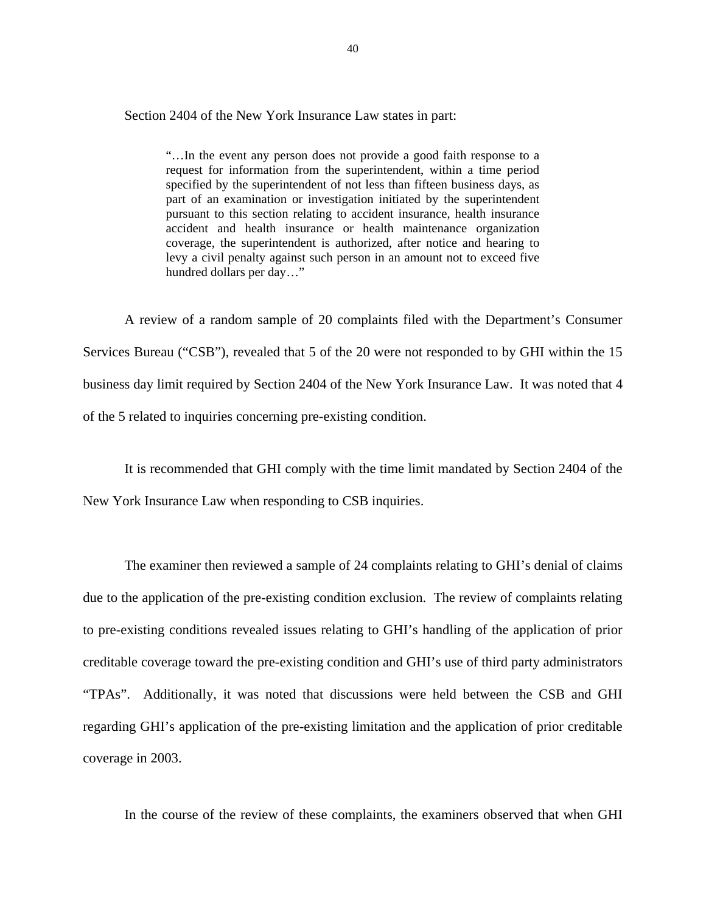<span id="page-41-0"></span>Section 2404 of the New York Insurance Law states in part:

"…In the event any person does not provide a good faith response to a request for information from the superintendent, within a time period specified by the superintendent of not less than fifteen business days, as part of an examination or investigation initiated by the superintendent pursuant to this section relating to accident insurance, health insurance accident and health insurance or health maintenance organization coverage, the superintendent is authorized, after notice and hearing to levy a civil penalty against such person in an amount not to exceed five hundred dollars per day…"

A review of a random sample of 20 complaints filed with the Department's Consumer Services Bureau ("CSB"), revealed that 5 of the 20 were not responded to by GHI within the 15 business day limit required by Section 2404 of the New York Insurance Law. It was noted that 4 of the 5 related to inquiries concerning pre-existing condition.

It is recommended that GHI comply with the time limit mandated by Section 2404 of the New York Insurance Law when responding to CSB inquiries.

The examiner then reviewed a sample of 24 complaints relating to GHI's denial of claims due to the application of the pre-existing condition exclusion. The review of complaints relating to pre-existing conditions revealed issues relating to GHI's handling of the application of prior creditable coverage toward the pre-existing condition and GHI's use of third party administrators "TPAs". Additionally, it was noted that discussions were held between the CSB and GHI regarding GHI's application of the pre-existing limitation and the application of prior creditable coverage in 2003.

In the course of the review of these complaints, the examiners observed that when GHI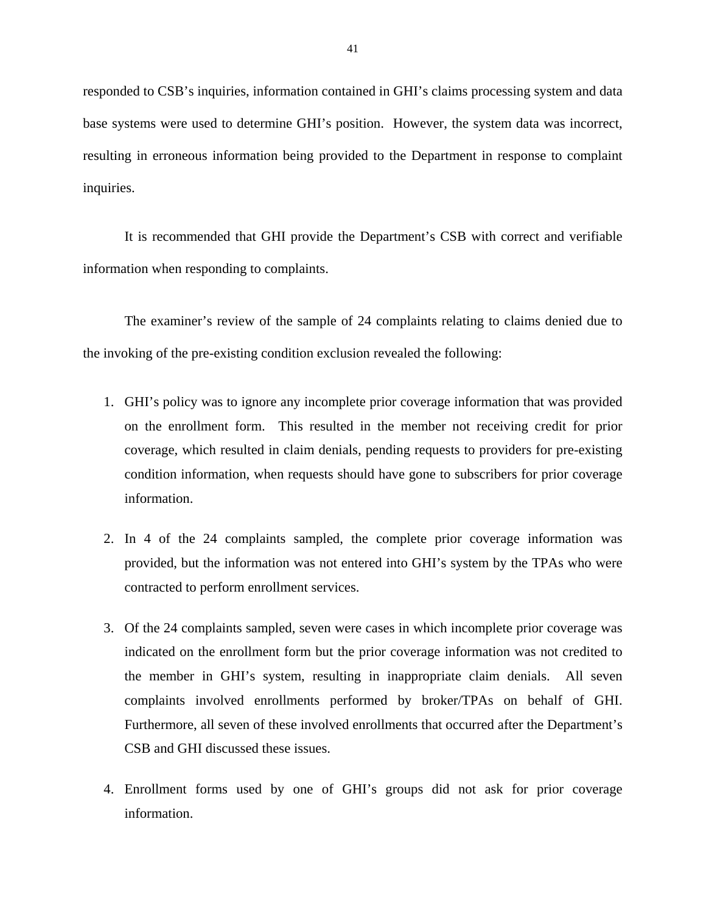responded to CSB's inquiries, information contained in GHI's claims processing system and data base systems were used to determine GHI's position. However, the system data was incorrect, resulting in erroneous information being provided to the Department in response to complaint inquiries.

It is recommended that GHI provide the Department's CSB with correct and verifiable information when responding to complaints.

The examiner's review of the sample of 24 complaints relating to claims denied due to the invoking of the pre-existing condition exclusion revealed the following:

- 1. GHI's policy was to ignore any incomplete prior coverage information that was provided on the enrollment form. This resulted in the member not receiving credit for prior coverage, which resulted in claim denials, pending requests to providers for pre-existing condition information, when requests should have gone to subscribers for prior coverage information.
- 2. In 4 of the 24 complaints sampled, the complete prior coverage information was provided, but the information was not entered into GHI's system by the TPAs who were contracted to perform enrollment services.
- 3. Of the 24 complaints sampled, seven were cases in which incomplete prior coverage was indicated on the enrollment form but the prior coverage information was not credited to the member in GHI's system, resulting in inappropriate claim denials. All seven complaints involved enrollments performed by broker/TPAs on behalf of GHI. Furthermore, all seven of these involved enrollments that occurred after the Department's CSB and GHI discussed these issues.
- 4. Enrollment forms used by one of GHI's groups did not ask for prior coverage information.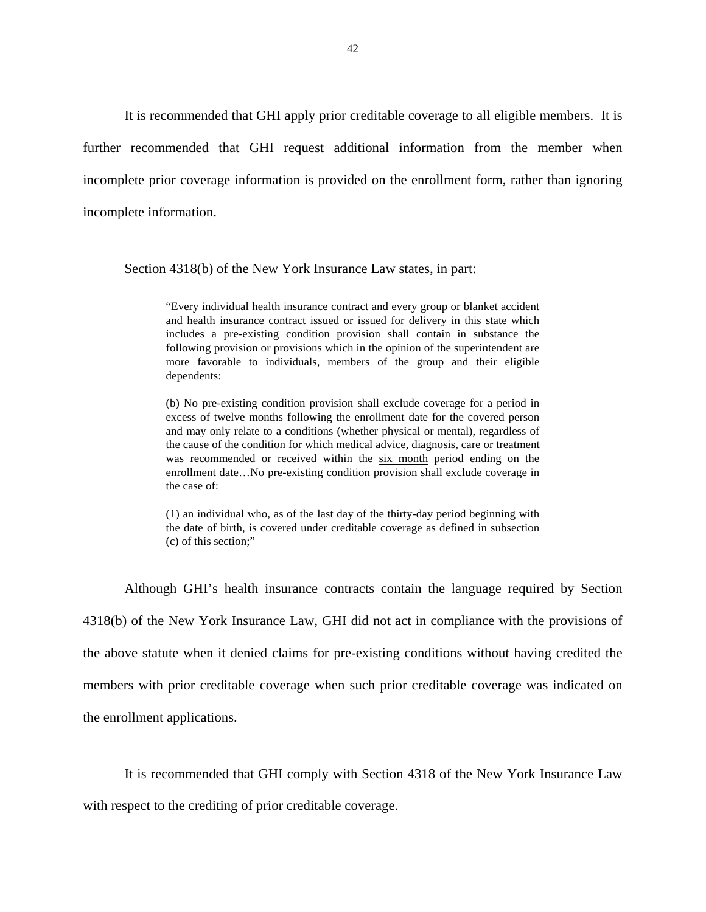It is recommended that GHI apply prior creditable coverage to all eligible members. It is further recommended that GHI request additional information from the member when incomplete prior coverage information is provided on the enrollment form, rather than ignoring incomplete information.

Section 4318(b) of the New York Insurance Law states, in part:

 includes a pre-existing condition provision shall contain in substance the "Every individual health insurance contract and every group or blanket accident and health insurance contract issued or issued for delivery in this state which following provision or provisions which in the opinion of the superintendent are more favorable to individuals, members of the group and their eligible dependents:

(b) No pre-existing condition provision shall exclude coverage for a period in excess of twelve months following the enrollment date for the covered person and may only relate to a conditions (whether physical or mental), regardless of the cause of the condition for which medical advice, diagnosis, care or treatment was recommended or received within the six month period ending on the enrollment date…No pre-existing condition provision shall exclude coverage in the case of:

(1) an individual who, as of the last day of the thirty-day period beginning with the date of birth, is covered under creditable coverage as defined in subsection (c) of this section;"

Although GHI's health insurance contracts contain the language required by Section 4318(b) of the New York Insurance Law, GHI did not act in compliance with the provisions of the above statute when it denied claims for pre-existing conditions without having credited the members with prior creditable coverage when such prior creditable coverage was indicated on the enrollment applications.

It is recommended that GHI comply with Section 4318 of the New York Insurance Law with respect to the crediting of prior creditable coverage.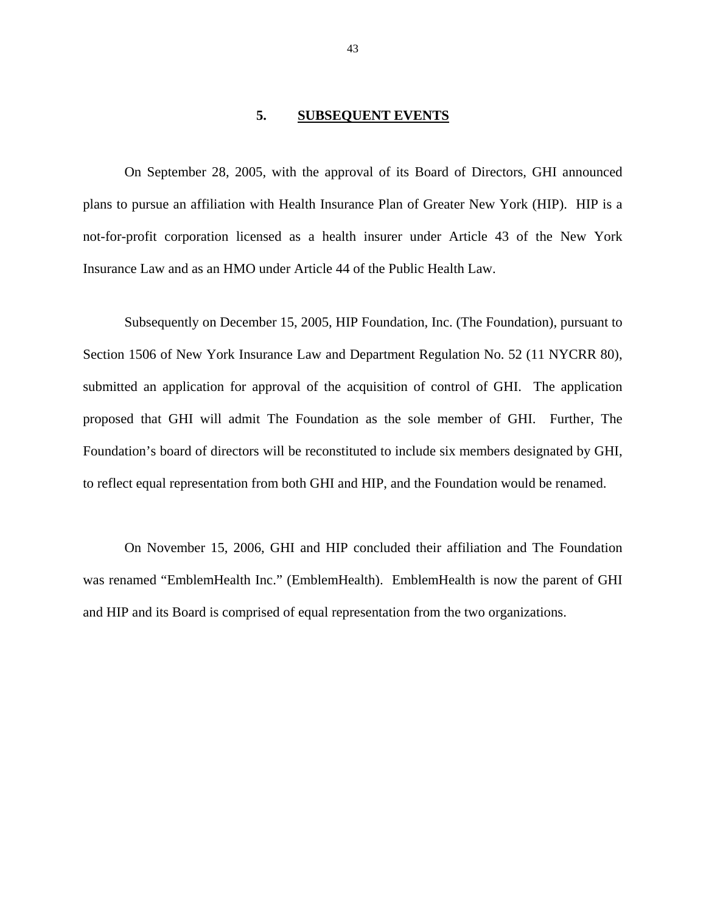#### **5. SUBSEQUENT EVENTS**

<span id="page-44-0"></span>On September 28, 2005, with the approval of its Board of Directors, GHI announced plans to pursue an affiliation with Health Insurance Plan of Greater New York (HIP). HIP is a not-for-profit corporation licensed as a health insurer under Article 43 of the New York Insurance Law and as an HMO under Article 44 of the Public Health Law.

Subsequently on December 15, 2005, HIP Foundation, Inc. (The Foundation), pursuant to Section 1506 of New York Insurance Law and Department Regulation No. 52 (11 NYCRR 80), submitted an application for approval of the acquisition of control of GHI. The application proposed that GHI will admit The Foundation as the sole member of GHI. Further, The Foundation's board of directors will be reconstituted to include six members designated by GHI, to reflect equal representation from both GHI and HIP, and the Foundation would be renamed.

On November 15, 2006, GHI and HIP concluded their affiliation and The Foundation was renamed "EmblemHealth Inc." (EmblemHealth). EmblemHealth is now the parent of GHI and HIP and its Board is comprised of equal representation from the two organizations.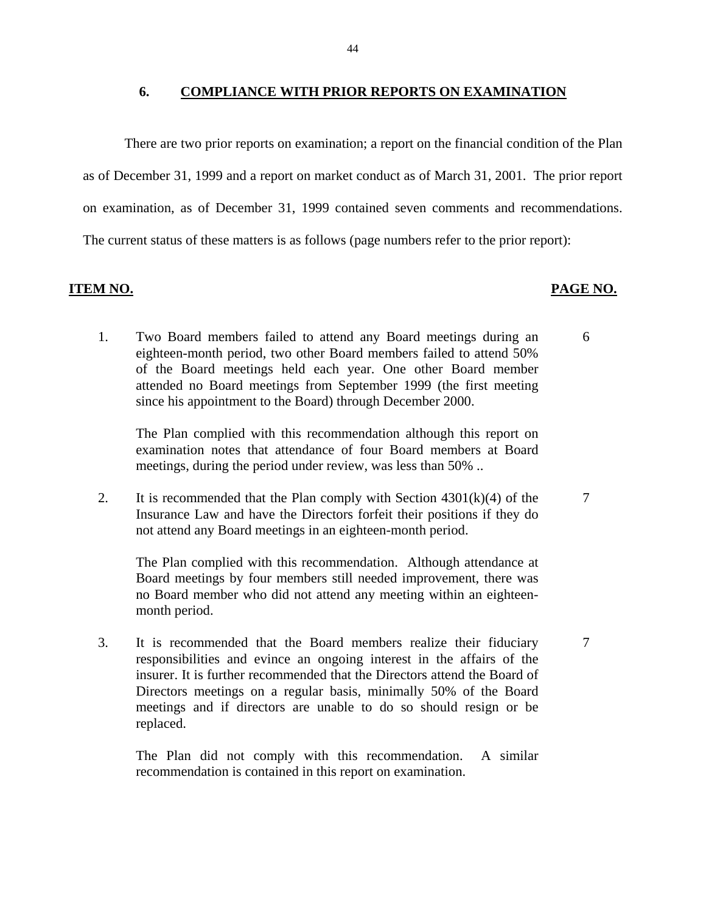#### **6. COMPLIANCE WITH PRIOR REPORTS ON EXAMINATION**

There are two prior reports on examination; a report on the financial condition of the Plan as of December 31, 1999 and a report on market conduct as of March 31, 2001. The prior report on examination, as of December 31, 1999 contained seven comments and recommendations. The current status of these matters is as follows (page numbers refer to the prior report):

#### **ITEM NO. PAGE NO.**

1. Two Board members failed to attend any Board meetings during an eighteen-month period, two other Board members failed to attend 50% of the Board meetings held each year. One other Board member attended no Board meetings from September 1999 (the first meeting since his appointment to the Board) through December 2000.

The Plan complied with this recommendation although this report on examination notes that attendance of four Board members at Board meetings, during the period under review, was less than 50% ..

2. It is recommended that the Plan comply with Section  $4301(k)(4)$  of the Insurance Law and have the Directors forfeit their positions if they do not attend any Board meetings in an eighteen-month period.

The Plan complied with this recommendation. Although attendance at Board meetings by four members still needed improvement, there was no Board member who did not attend any meeting within an eighteenmonth period.

3. It is recommended that the Board members realize their fiduciary responsibilities and evince an ongoing interest in the affairs of the insurer. It is further recommended that the Directors attend the Board of Directors meetings on a regular basis, minimally 50% of the Board meetings and if directors are unable to do so should resign or be replaced.

The Plan did not comply with this recommendation. recommendation is contained in this report on examination. A similar

44

6

7

7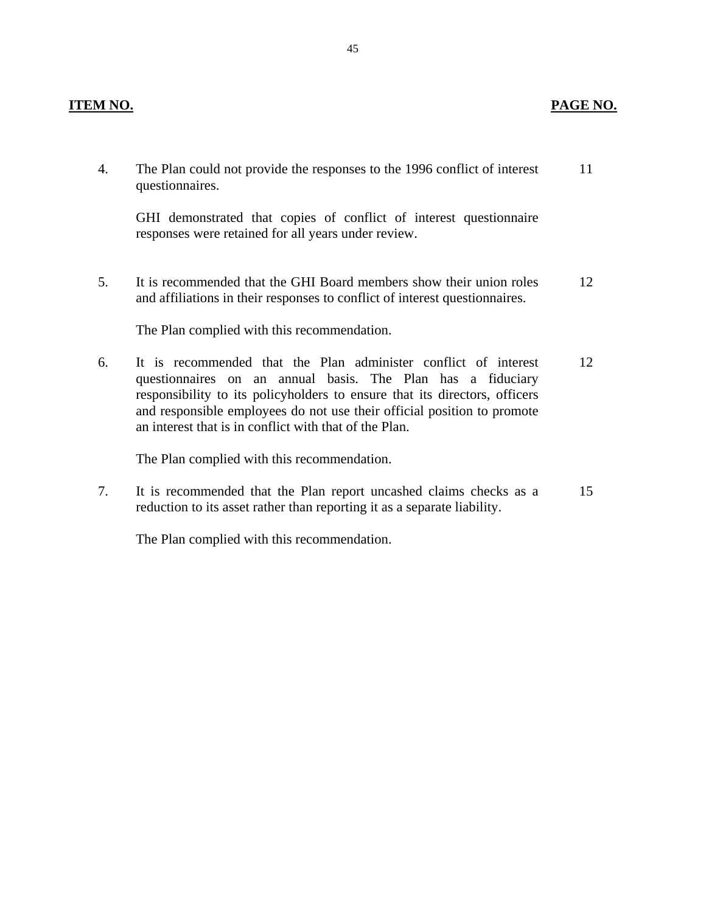# **ITEM NO. PAGE NO.**

| 4. | The Plan could not provide the responses to the 1996 conflict of interest<br>questionnaires.                                                                                                                                                                                                                                                      | 11 |
|----|---------------------------------------------------------------------------------------------------------------------------------------------------------------------------------------------------------------------------------------------------------------------------------------------------------------------------------------------------|----|
|    | GHI demonstrated that copies of conflict of interest questionnaire<br>responses were retained for all years under review.                                                                                                                                                                                                                         |    |
| 5. | It is recommended that the GHI Board members show their union roles<br>and affiliations in their responses to conflict of interest questionnaires.                                                                                                                                                                                                | 12 |
|    | The Plan complied with this recommendation.                                                                                                                                                                                                                                                                                                       |    |
| 6. | It is recommended that the Plan administer conflict of interest<br>questionnaires on an annual basis. The Plan has a fiduciary<br>responsibility to its policyholders to ensure that its directors, officers<br>and responsible employees do not use their official position to promote<br>an interest that is in conflict with that of the Plan. | 12 |
|    | The Plan complied with this recommendation.                                                                                                                                                                                                                                                                                                       |    |
| 7. | It is recommended that the Plan report uncashed claims checks as a<br>reduction to its asset rather than reporting it as a separate liability.                                                                                                                                                                                                    | 15 |
|    | The Dlen complied with this necessary on detion                                                                                                                                                                                                                                                                                                   |    |

The Plan complied with this recommendation.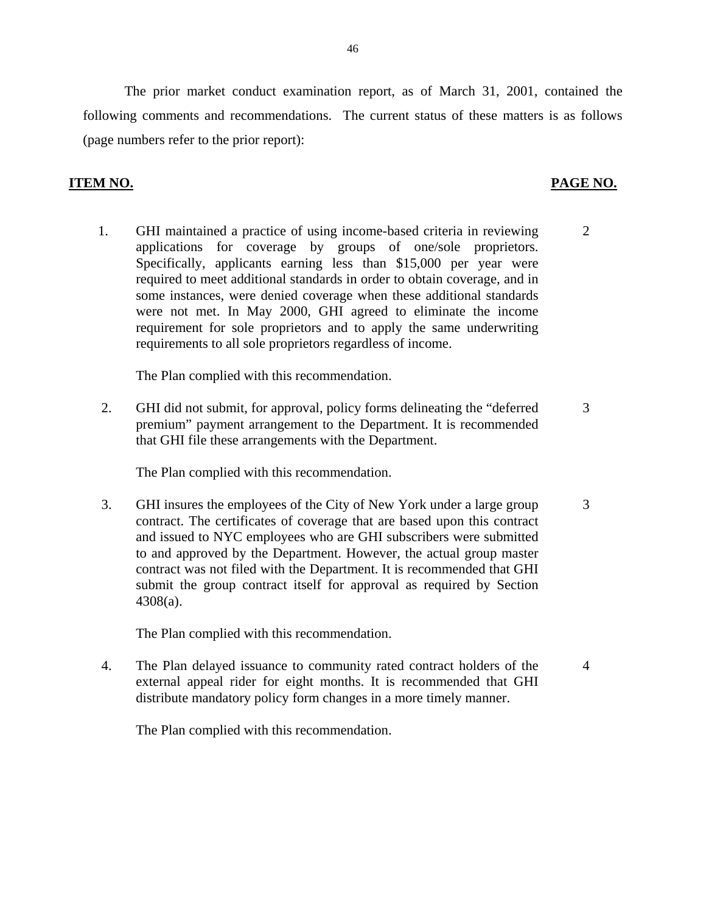The prior market conduct examination report, as of March 31, 2001, contained the following comments and recommendations. The current status of these matters is as follows (page numbers refer to the prior report):

#### **ITEM NO. PAGE NO.**

1. GHI maintained a practice of using income-based criteria in reviewing 2 applications for coverage by groups of one/sole proprietors. Specifically, applicants earning less than \$15,000 per year were required to meet additional standards in order to obtain coverage, and in some instances, were denied coverage when these additional standards were not met. In May 2000, GHI agreed to eliminate the income requirement for sole proprietors and to apply the same underwriting requirements to all sole proprietors regardless of income.

The Plan complied with this recommendation.

2. GHI did not submit, for approval, policy forms delineating the "deferred 3 premium" payment arrangement to the Department. It is recommended that GHI file these arrangements with the Department.

The Plan complied with this recommendation.

3. GHI insures the employees of the City of New York under a large group 3 contract. The certificates of coverage that are based upon this contract and issued to NYC employees who are GHI subscribers were submitted to and approved by the Department. However, the actual group master contract was not filed with the Department. It is recommended that GHI submit the group contract itself for approval as required by Section 4308(a).

The Plan complied with this recommendation.

4. The Plan delayed issuance to community rated contract holders of the 4 external appeal rider for eight months. It is recommended that GHI distribute mandatory policy form changes in a more timely manner.

The Plan complied with this recommendation.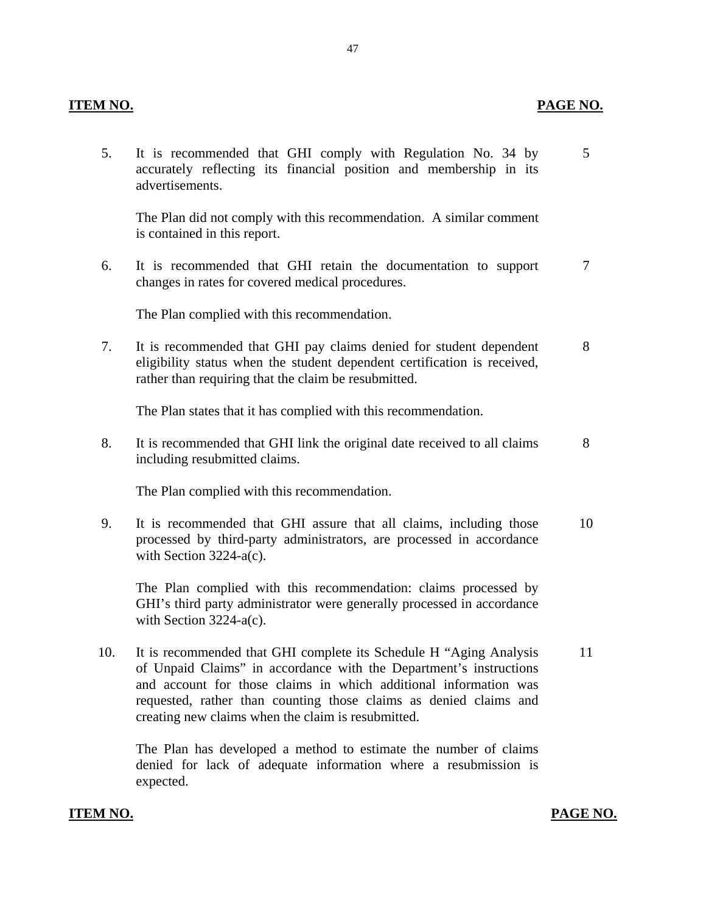| 5.  | It is recommended that GHI comply with Regulation No. 34 by<br>accurately reflecting its financial position and membership in its<br>advertisements.                                                                                                                                                                                    | 5 <sup>5</sup>  |
|-----|-----------------------------------------------------------------------------------------------------------------------------------------------------------------------------------------------------------------------------------------------------------------------------------------------------------------------------------------|-----------------|
|     | The Plan did not comply with this recommendation. A similar comment<br>is contained in this report.                                                                                                                                                                                                                                     |                 |
| 6.  | It is recommended that GHI retain the documentation to support<br>changes in rates for covered medical procedures.                                                                                                                                                                                                                      | $7\overline{ }$ |
|     | The Plan complied with this recommendation.                                                                                                                                                                                                                                                                                             |                 |
| 7.  | It is recommended that GHI pay claims denied for student dependent<br>eligibility status when the student dependent certification is received,<br>rather than requiring that the claim be resubmitted.                                                                                                                                  | 8               |
|     | The Plan states that it has complied with this recommendation.                                                                                                                                                                                                                                                                          |                 |
| 8.  | It is recommended that GHI link the original date received to all claims<br>including resubmitted claims.                                                                                                                                                                                                                               | 8               |
|     | The Plan complied with this recommendation.                                                                                                                                                                                                                                                                                             |                 |
| 9.  | It is recommended that GHI assure that all claims, including those<br>processed by third-party administrators, are processed in accordance<br>with Section $3224-a(c)$ .                                                                                                                                                                | 10              |
|     | The Plan complied with this recommendation: claims processed by<br>GHI's third party administrator were generally processed in accordance<br>with Section $3224-a(c)$ .                                                                                                                                                                 |                 |
| 10. | It is recommended that GHI complete its Schedule H "Aging Analysis<br>of Unpaid Claims" in accordance with the Department's instructions<br>and account for those claims in which additional information was<br>requested, rather than counting those claims as denied claims and<br>creating new claims when the claim is resubmitted. | 11              |

The Plan has developed a method to estimate the number of claims denied for lack of adequate information where a resubmission is expected.

# **ITEM NO. PAGE NO.**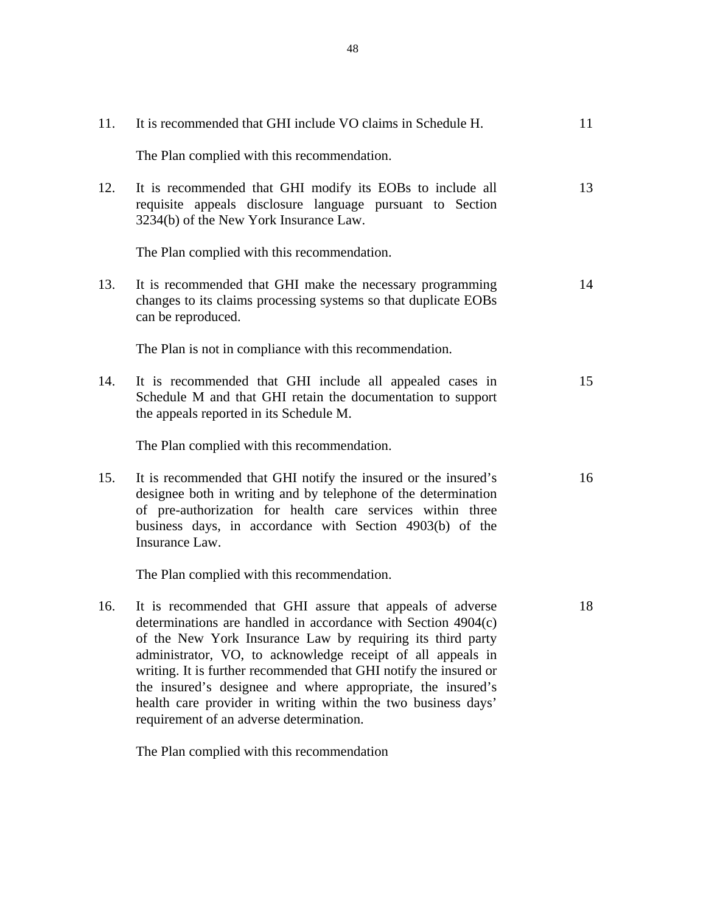| 11. | It is recommended that GHI include VO claims in Schedule H.                                                                                                                                                                                                                                                                                                                                                                                                                                                | 11 |
|-----|------------------------------------------------------------------------------------------------------------------------------------------------------------------------------------------------------------------------------------------------------------------------------------------------------------------------------------------------------------------------------------------------------------------------------------------------------------------------------------------------------------|----|
|     | The Plan complied with this recommendation.                                                                                                                                                                                                                                                                                                                                                                                                                                                                |    |
| 12. | It is recommended that GHI modify its EOBs to include all<br>requisite appeals disclosure language pursuant to Section<br>3234(b) of the New York Insurance Law.                                                                                                                                                                                                                                                                                                                                           | 13 |
|     | The Plan complied with this recommendation.                                                                                                                                                                                                                                                                                                                                                                                                                                                                |    |
| 13. | It is recommended that GHI make the necessary programming<br>changes to its claims processing systems so that duplicate EOBs<br>can be reproduced.                                                                                                                                                                                                                                                                                                                                                         | 14 |
|     | The Plan is not in compliance with this recommendation.                                                                                                                                                                                                                                                                                                                                                                                                                                                    |    |
| 14. | It is recommended that GHI include all appealed cases in<br>Schedule M and that GHI retain the documentation to support<br>the appeals reported in its Schedule M.                                                                                                                                                                                                                                                                                                                                         | 15 |
|     | The Plan complied with this recommendation.                                                                                                                                                                                                                                                                                                                                                                                                                                                                |    |
| 15. | It is recommended that GHI notify the insured or the insured's<br>designee both in writing and by telephone of the determination<br>of pre-authorization for health care services within three<br>business days, in accordance with Section 4903(b) of the<br>Insurance Law.                                                                                                                                                                                                                               | 16 |
|     | The Plan complied with this recommendation.                                                                                                                                                                                                                                                                                                                                                                                                                                                                |    |
| 16. | It is recommended that GHI assure that appeals of adverse<br>determinations are handled in accordance with Section $4904(c)$<br>of the New York Insurance Law by requiring its third party<br>administrator, VO, to acknowledge receipt of all appeals in<br>writing. It is further recommended that GHI notify the insured or<br>the insured's designee and where appropriate, the insured's<br>health care provider in writing within the two business days'<br>requirement of an adverse determination. | 18 |

The Plan complied with this recommendation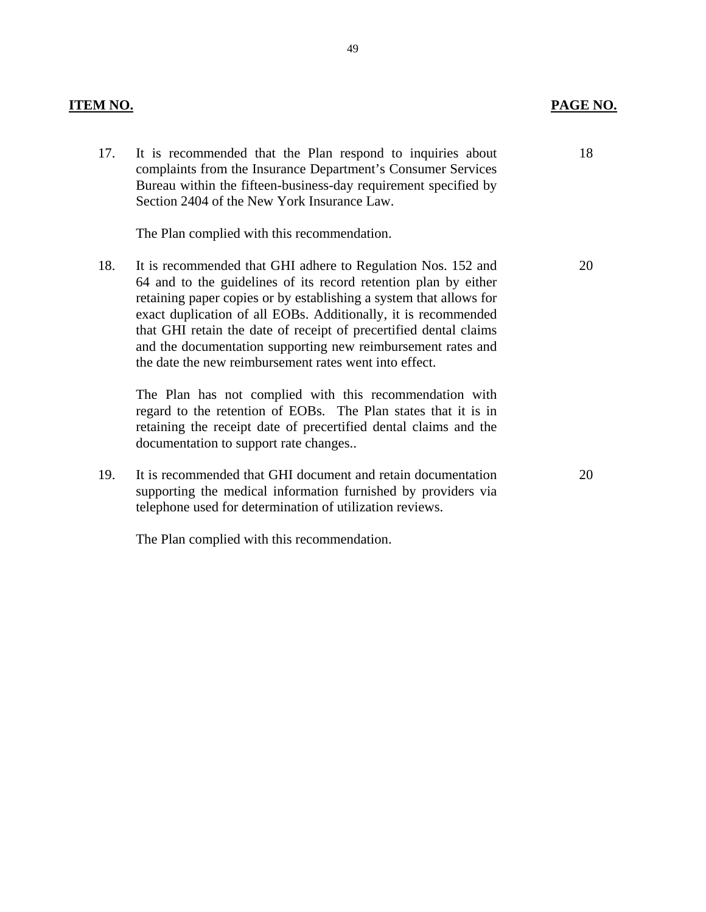#### **ITEM NO. PAGE NO.**

17. It is recommended that the Plan respond to inquiries about 18 complaints from the Insurance Department's Consumer Services Bureau within the fifteen-business-day requirement specified by Section 2404 of the New York Insurance Law.

The Plan complied with this recommendation.

18. It is recommended that GHI adhere to Regulation Nos. 152 and 20 64 and to the guidelines of its record retention plan by either retaining paper copies or by establishing a system that allows for exact duplication of all EOBs. Additionally, it is recommended that GHI retain the date of receipt of precertified dental claims and the documentation supporting new reimbursement rates and the date the new reimbursement rates went into effect.

The Plan has not complied with this recommendation with regard to the retention of EOBs. The Plan states that it is in retaining the receipt date of precertified dental claims and the documentation to support rate changes..

19. It is recommended that GHI document and retain documentation 20 supporting the medical information furnished by providers via telephone used for determination of utilization reviews.

The Plan complied with this recommendation.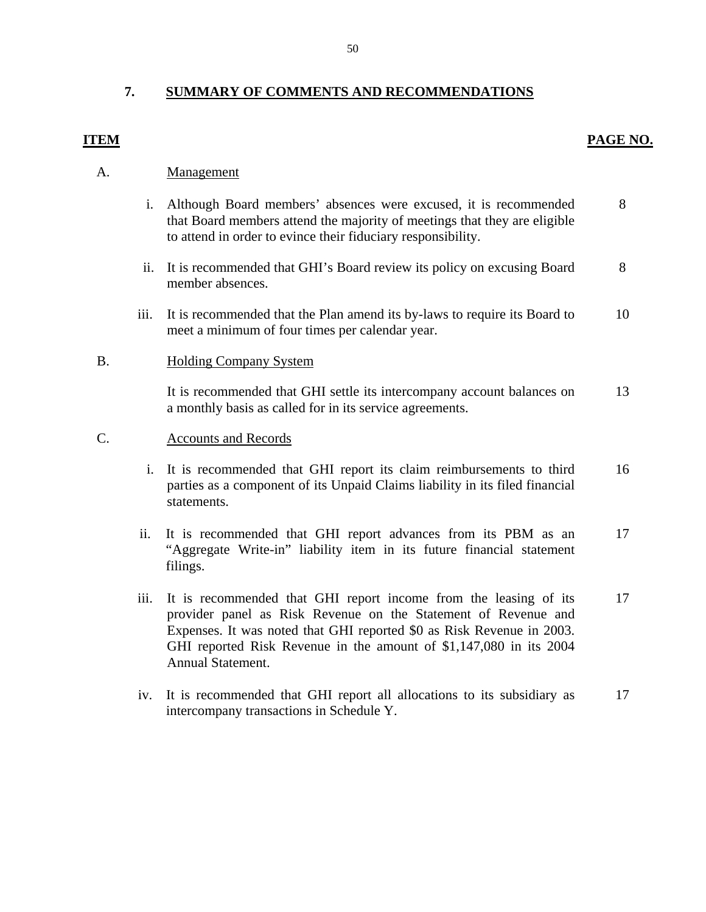## **7. SUMMARY OF COMMENTS AND RECOMMENDATIONS**

## **ITEM**

### **PAGE NO.**

#### Management

- A. <u>Management</u><br>i. Although Board members' absences were excused, it is recommended that Board members attend the majority of meetings that they are eligible to attend in order to evince their fiduciary responsibility. 8
	- ii. It is recommended that GHI's Board review its policy on excusing Board member absences. 8
	- iii. It is recommended that the Plan amend its by-laws to require its Board to meet a minimum of four times per calendar year. 10

### B. Holding Company System

It is recommended that GHI settle its intercompany account balances on a monthly basis as called for in its service agreements. 13

### C. Accounts and Records

- i. It is recommended that GHI report its claim reimbursements to third parties as a component of its Unpaid Claims liability in its filed financial statements. 16
- ii. It is recommended that GHI report advances from its PBM as an "Aggregate Write-in" liability item in its future financial statement filings. 17
- iii. It is recommended that GHI report income from the leasing of its provider panel as Risk Revenue on the Statement of Revenue and Expenses. It was noted that GHI reported \$0 as Risk Revenue in 2003. GHI reported Risk Revenue in the amount of \$1,147,080 in its 2004 Annual Statement. 17
- iv. It is recommended that GHI report all allocations to its subsidiary as intercompany transactions in Schedule Y. 17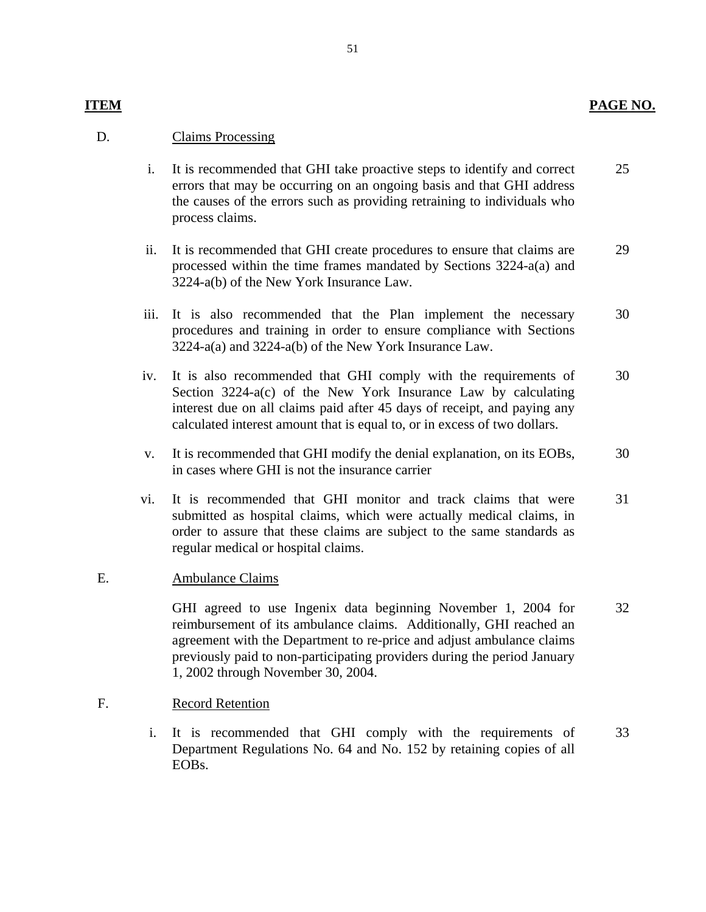# **PAGE NO.**

### **ITEM**

#### **Claims Processing** D.

- i. It is recommended that GHI take proactive steps to identify and correct errors that may be occurring on an ongoing basis and that GHI address the causes of the errors such as providing retraining to individuals who process claims. 25
- ii. It is recommended that GHI create procedures to ensure that claims are processed within the time frames mandated by Sections 3224-a(a) and 3224-a(b) of the New York Insurance Law. 29
- iii. It is also recommended that the Plan implement the necessary procedures and training in order to ensure compliance with Sections 3224-a(a) and 3224-a(b) of the New York Insurance Law. 30
- iv. It is also recommended that GHI comply with the requirements of Section 3224-a(c) of the New York Insurance Law by calculating interest due on all claims paid after 45 days of receipt, and paying any calculated interest amount that is equal to, or in excess of two dollars. 30
- v. It is recommended that GHI modify the denial explanation, on its EOBs, in cases where GHI is not the insurance carrier 30
- vi. It is recommended that GHI monitor and track claims that were submitted as hospital claims, which were actually medical claims, in order to assure that these claims are subject to the same standards as regular medical or hospital claims. 31

#### **Ambulance Claims** E.

E. Ambulance Claims<br>
GHI agreed to use<br>
reimbursement of it<br>
agreement with the<br>
previously paid to n<br>
1, 2002 through No<br>
F. Record Retention GHI agreed to use Ingenix data beginning November 1, 2004 for reimbursement of its ambulance claims. Additionally, GHI reached an agreement with the Department to re-price and adjust ambulance claims previously paid to non-participating providers during the period January 1, 2002 through November 30, 2004. 32

### **Record Retention**

i. It is recommended that GHI comply with the requirements of Department Regulations No. 64 and No. 152 by retaining copies of all EOBs. 33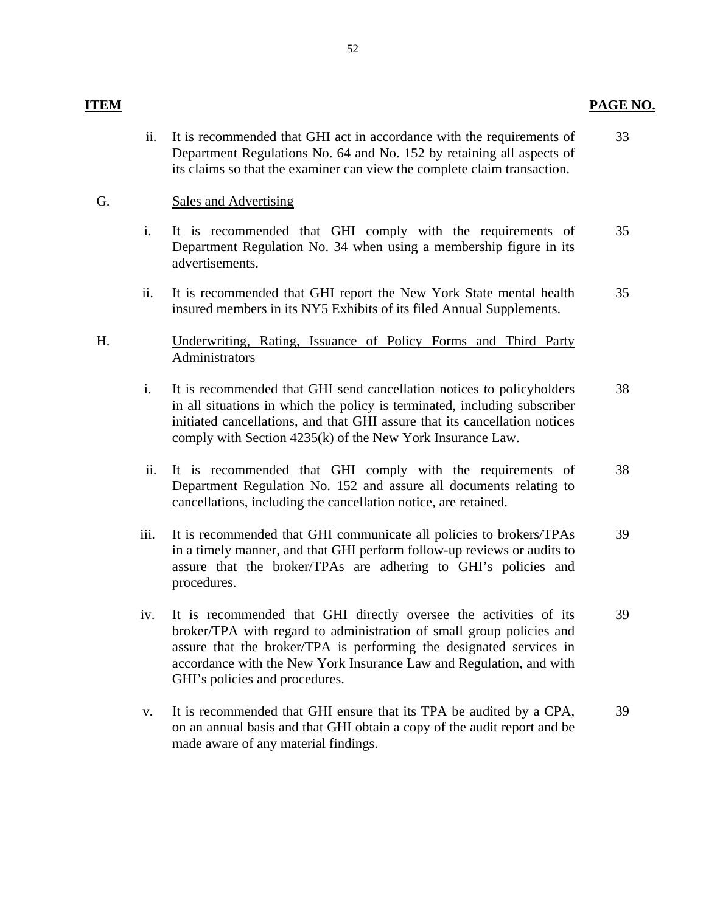## **PAGE NO.**

ii. It is recommended that GHI act in accordance with the requirements of Department Regulations No. 64 and No. 152 by retaining all aspects of its claims so that the examiner can view the complete claim transaction. 33

#### G. Sales and Advertising

**ITEM**

- i. It is recommended that GHI comply with the requirements of Department Regulation No. 34 when using a membership figure in its advertisements. 35
- ii. It is recommended that GHI report the New York State mental health insured members in its NY5 Exhibits of its filed Annual Supplements. 35

#### H. Underwriting, Rating, Issuance of Policy Forms and Third Party Administrators

- i. It is recommended that GHI send cancellation notices to policyholders in all situations in which the policy is terminated, including subscriber initiated cancellations, and that GHI assure that its cancellation notices comply with Section 4235(k) of the New York Insurance Law. 38
- ii. It is recommended that GHI comply with the requirements of Department Regulation No. 152 and assure all documents relating to cancellations, including the cancellation notice, are retained. 38
- iii. It is recommended that GHI communicate all policies to brokers/TPAs in a timely manner, and that GHI perform follow-up reviews or audits to assure that the broker/TPAs are adhering to GHI's policies and procedures. 39
- iv. It is recommended that GHI directly oversee the activities of its broker/TPA with regard to administration of small group policies and assure that the broker/TPA is performing the designated services in accordance with the New York Insurance Law and Regulation, and with GHI's policies and procedures. 39
- v. It is recommended that GHI ensure that its TPA be audited by a CPA, on an annual basis and that GHI obtain a copy of the audit report and be made aware of any material findings. 39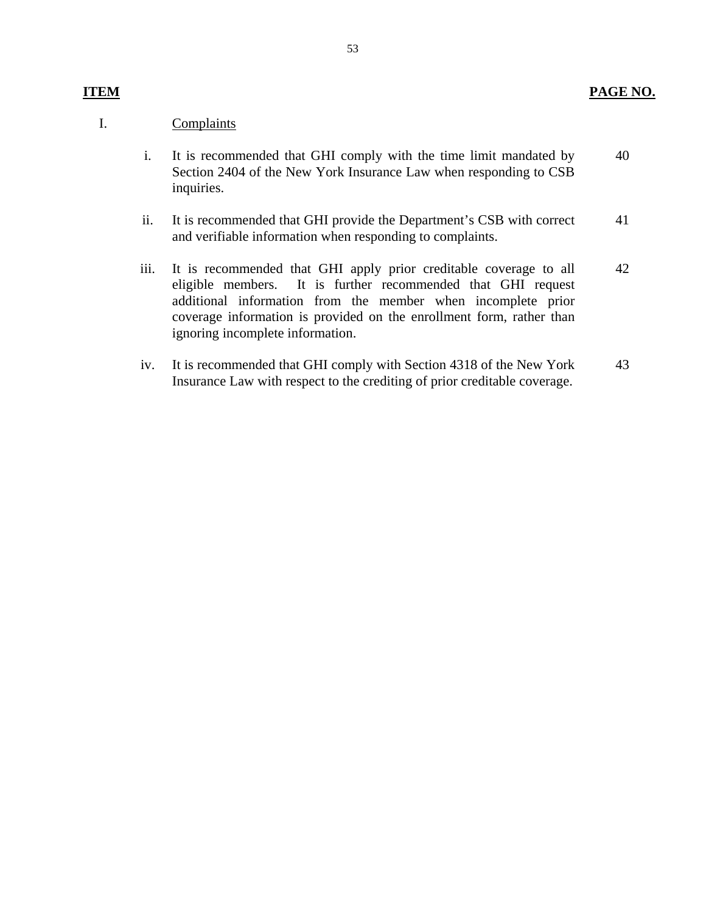## **ITEM PAGE NO.**

#### I. Complaints

- i. It is recommended that GHI comply with the time limit mandated by Section 2404 of the New York Insurance Law when responding to CSB inquiries. 40
- ii. It is recommended that GHI provide the Department's CSB with correct and verifiable information when responding to complaints. 41
- iii. It is recommended that GHI apply prior creditable coverage to all eligible members. It is further recommended that GHI request additional information from the member when incomplete prior coverage information is provided on the enrollment form, rather than ignoring incomplete information. 42
- iv. It is recommended that GHI comply with Section 4318 of the New York Insurance Law with respect to the crediting of prior creditable coverage. 43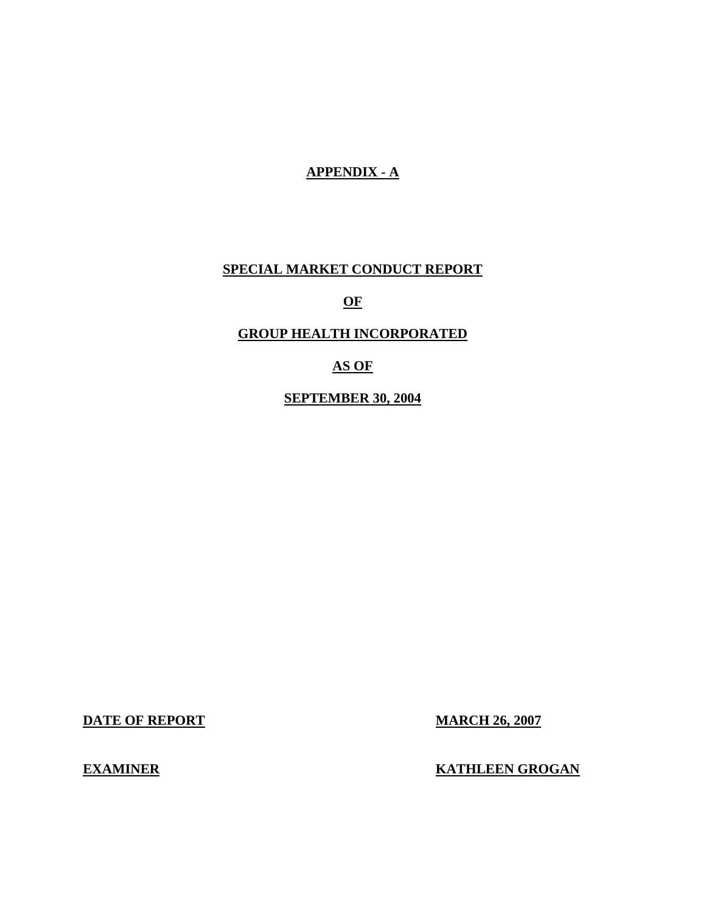# **APPENDIX - A**

## **SPECIAL MARKET CONDUCT REPORT**

**OF** 

# **GROUP HEALTH INCORPORATED**

# **AS OF**

**SEPTEMBER 30, 2004** 

**DATE OF REPORT MARCH 26, 2007** 

**EXAMINER** 

**KATHLEEN GROGAN**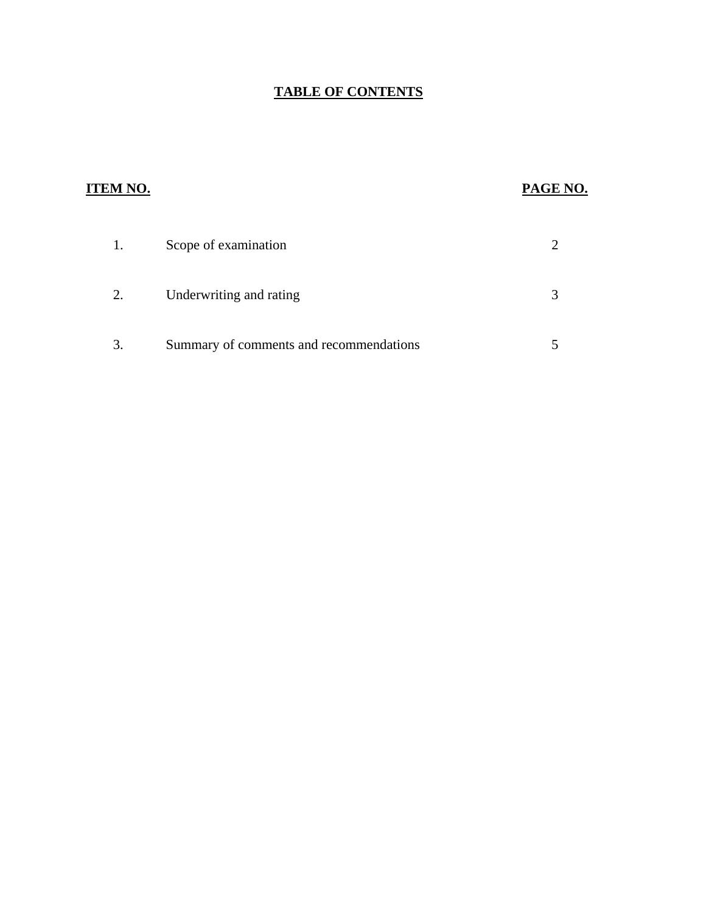# **TABLE OF CONTENTS**

# **ITEM NO. PAGE NO.**

| 1.             | Scope of examination                    |  |
|----------------|-----------------------------------------|--|
| 2.             | Underwriting and rating                 |  |
| $\mathfrak{Z}$ | Summary of comments and recommendations |  |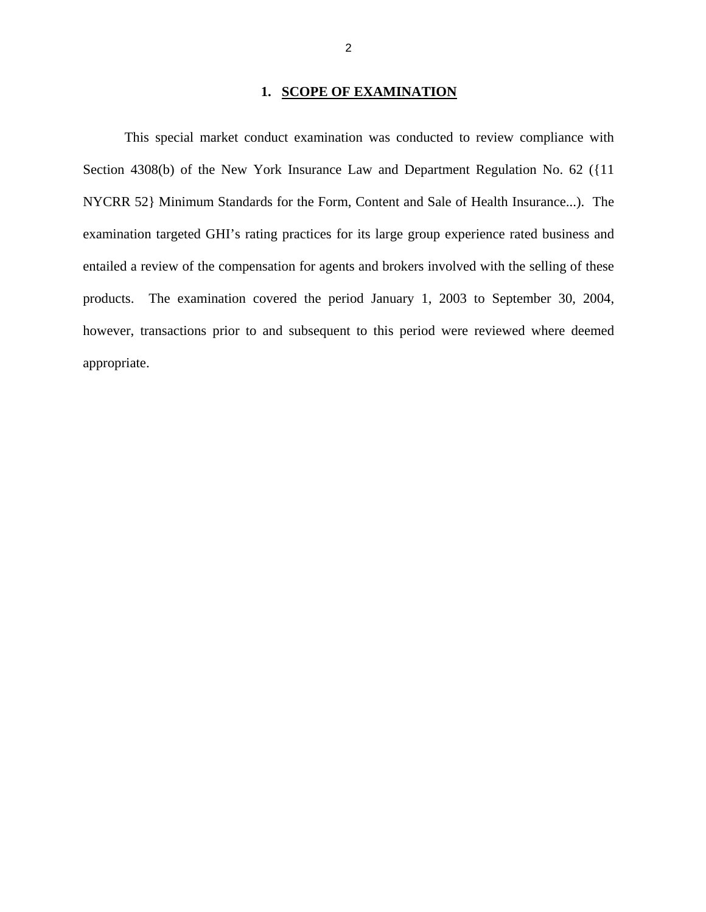#### 1. **SCOPE OF EXAMINATION**

This special market conduct examination was conducted to review compliance with Section 4308(b) of the New York Insurance Law and Department Regulation No. 62 ({11 NYCRR 52} Minimum Standards for the Form, Content and Sale of Health Insurance...). The examination targeted GHI's rating practices for its large group experience rated business and entailed a review of the compensation for agents and brokers involved with the selling of these products. The examination covered the period January 1, 2003 to September 30, 2004, however, transactions prior to and subsequent to this period were reviewed where deemed appropriate.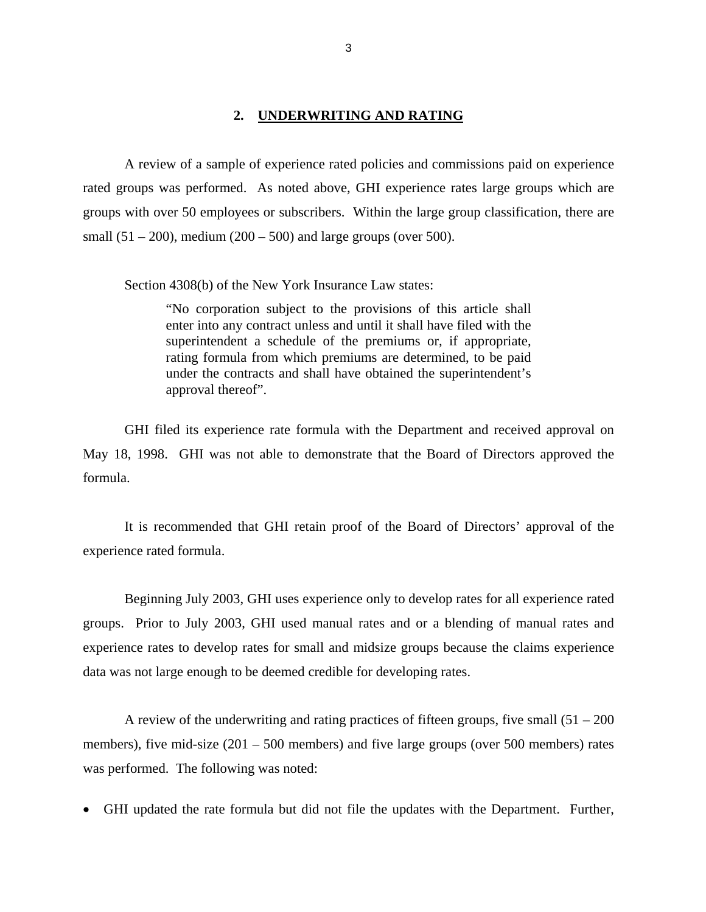#### **2. UNDERWRITING AND RATING**

A review of a sample of experience rated policies and commissions paid on experience rated groups was performed. As noted above, GHI experience rates large groups which are groups with over 50 employees or subscribers. Within the large group classification, there are small  $(51 – 200)$ , medium  $(200 – 500)$  and large groups (over 500).

Section 4308(b) of the New York Insurance Law states:

"No corporation subject to the provisions of this article shall enter into any contract unless and until it shall have filed with the superintendent a schedule of the premiums or, if appropriate, rating formula from which premiums are determined, to be paid under the contracts and shall have obtained the superintendent's approval thereof".

GHI filed its experience rate formula with the Department and received approval on May 18, 1998. GHI was not able to demonstrate that the Board of Directors approved the formula.

It is recommended that GHI retain proof of the Board of Directors' approval of the experience rated formula.

Beginning July 2003, GHI uses experience only to develop rates for all experience rated groups. Prior to July 2003, GHI used manual rates and or a blending of manual rates and experience rates to develop rates for small and midsize groups because the claims experience data was not large enough to be deemed credible for developing rates.

A review of the underwriting and rating practices of fifteen groups, five small  $(51 – 200)$ members), five mid-size (201 – 500 members) and five large groups (over 500 members) rates was performed. The following was noted:

• GHI updated the rate formula but did not file the updates with the Department. Further,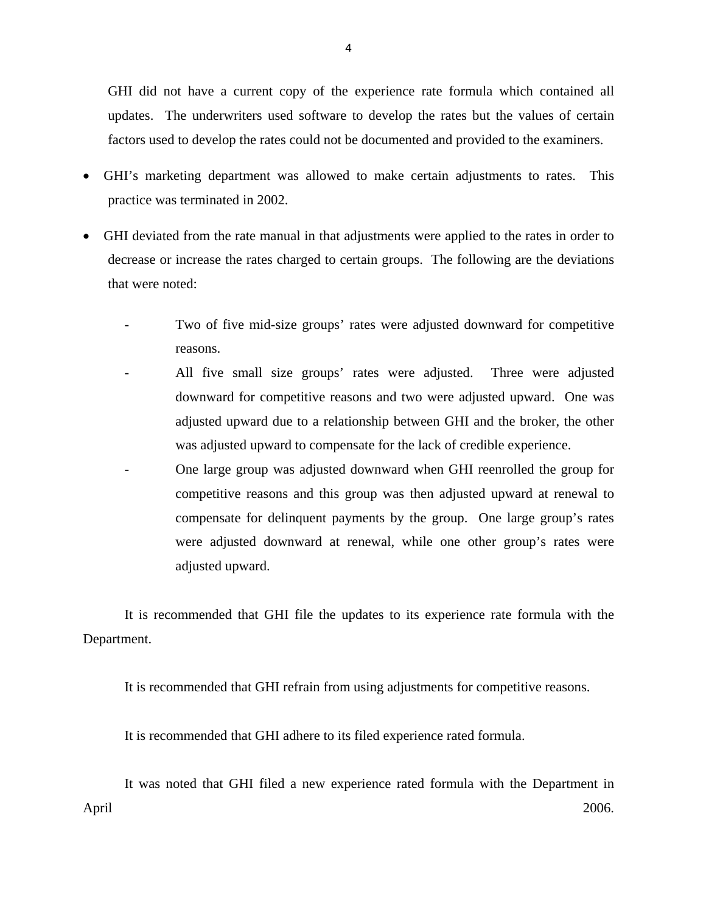GHI did not have a current copy of the experience rate formula which contained all updates. The underwriters used software to develop the rates but the values of certain factors used to develop the rates could not be documented and provided to the examiners.

- GHI's marketing department was allowed to make certain adjustments to rates. This practice was terminated in 2002.
- GHI deviated from the rate manual in that adjustments were applied to the rates in order to decrease or increase the rates charged to certain groups. The following are the deviations that were noted:
	- Two of five mid-size groups' rates were adjusted downward for competitive reasons.
	- All five small size groups' rates were adjusted. Three were adjusted downward for competitive reasons and two were adjusted upward. One was adjusted upward due to a relationship between GHI and the broker, the other was adjusted upward to compensate for the lack of credible experience.
	- One large group was adjusted downward when GHI reenrolled the group for competitive reasons and this group was then adjusted upward at renewal to compensate for delinquent payments by the group. One large group's rates were adjusted downward at renewal, while one other group's rates were adjusted upward.

It is recommended that GHI file the updates to its experience rate formula with the Department.

It is recommended that GHI refrain from using adjustments for competitive reasons.

It is recommended that GHI adhere to its filed experience rated formula.

It was noted that GHI filed a new experience rated formula with the Department in April 2006.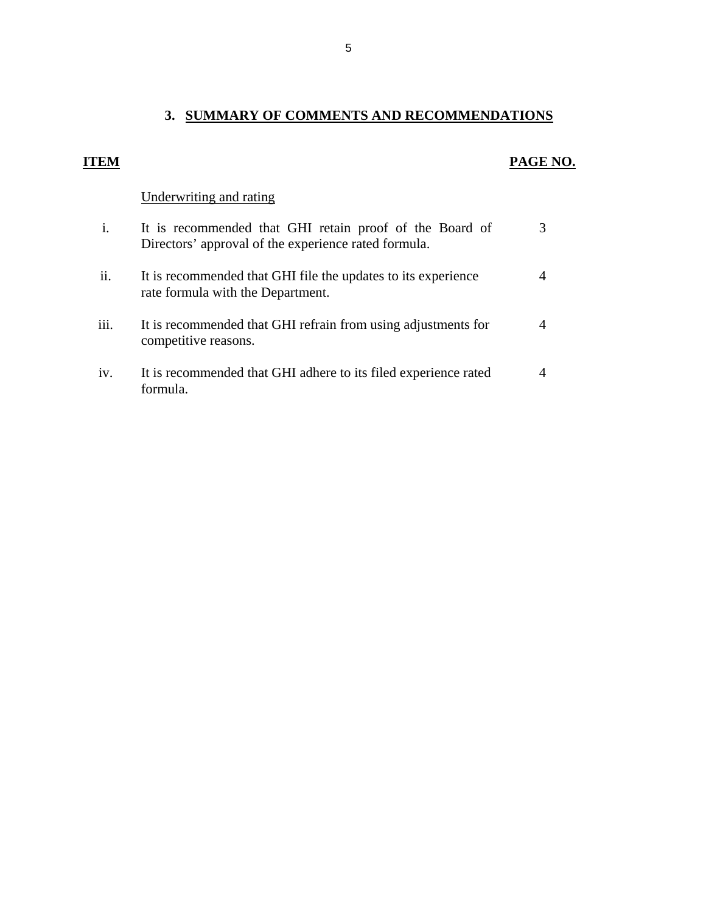### **3. SUMMARY OF COMMENTS AND RECOMMENDATIONS**

## i. It is recommended that GHI retain proof of the Board of Directors' approval of the experience rated formula. 3 ii. It is recommended that GHI file the updates to its experience rate formula with the Department. 4 iii. It is recommended that GHI refrain from using adjustments for competitive reasons. 4 iv. It is recommended that GHI adhere to its filed experience rated formula. 4

## **ITEM**

# PAGE NO.

- Underwriting and rating
- 
-